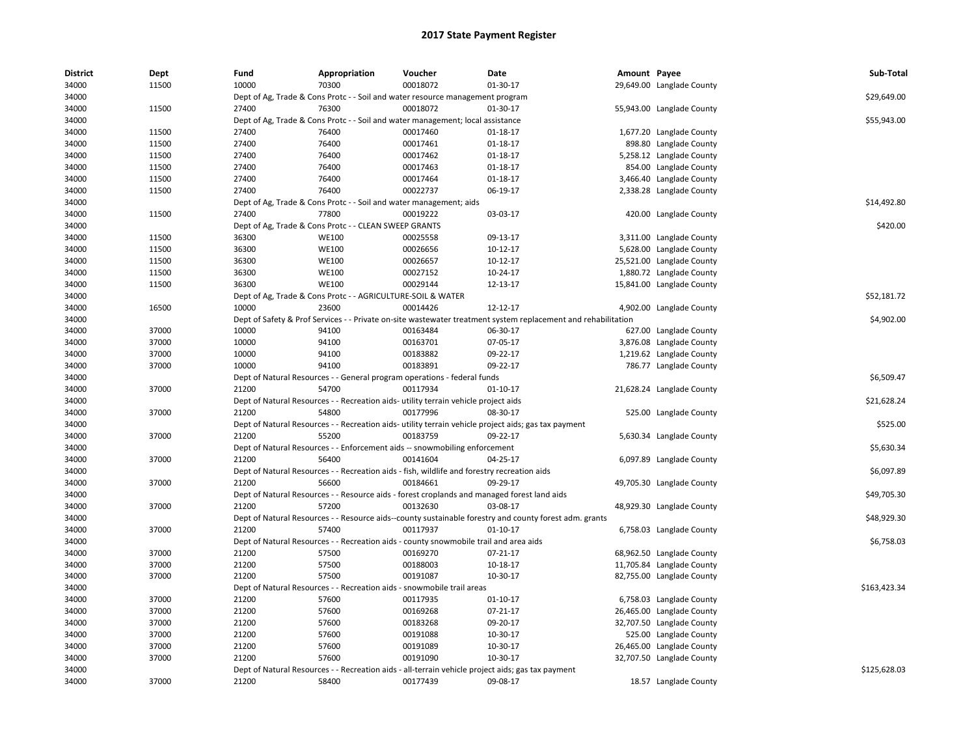| <b>District</b> | Dept  | Fund  | Appropriation                                                                               | Voucher  | Date                                                                                                          | Amount Payee |                           | Sub-Total    |
|-----------------|-------|-------|---------------------------------------------------------------------------------------------|----------|---------------------------------------------------------------------------------------------------------------|--------------|---------------------------|--------------|
| 34000           | 11500 | 10000 | 70300                                                                                       | 00018072 | 01-30-17                                                                                                      |              | 29,649.00 Langlade County |              |
| 34000           |       |       | Dept of Ag, Trade & Cons Protc - - Soil and water resource management program               |          |                                                                                                               |              |                           | \$29,649.00  |
| 34000           | 11500 | 27400 | 76300                                                                                       | 00018072 | 01-30-17                                                                                                      |              | 55,943.00 Langlade County |              |
| 34000           |       |       | Dept of Ag, Trade & Cons Protc - - Soil and water management; local assistance              |          |                                                                                                               |              |                           | \$55,943.00  |
| 34000           | 11500 | 27400 | 76400                                                                                       | 00017460 | 01-18-17                                                                                                      |              | 1,677.20 Langlade County  |              |
| 34000           | 11500 | 27400 | 76400                                                                                       | 00017461 | $01 - 18 - 17$                                                                                                |              | 898.80 Langlade County    |              |
| 34000           | 11500 | 27400 | 76400                                                                                       | 00017462 | 01-18-17                                                                                                      |              | 5,258.12 Langlade County  |              |
| 34000           | 11500 | 27400 | 76400                                                                                       | 00017463 | $01 - 18 - 17$                                                                                                |              | 854.00 Langlade County    |              |
| 34000           | 11500 | 27400 | 76400                                                                                       | 00017464 | $01 - 18 - 17$                                                                                                |              | 3,466.40 Langlade County  |              |
| 34000           | 11500 | 27400 | 76400                                                                                       | 00022737 | 06-19-17                                                                                                      |              | 2,338.28 Langlade County  |              |
| 34000           |       |       | Dept of Ag, Trade & Cons Protc - - Soil and water management; aids                          |          |                                                                                                               |              |                           | \$14,492.80  |
| 34000           | 11500 | 27400 | 77800                                                                                       | 00019222 | 03-03-17                                                                                                      |              | 420.00 Langlade County    |              |
| 34000           |       |       | Dept of Ag, Trade & Cons Protc - - CLEAN SWEEP GRANTS                                       |          |                                                                                                               |              |                           | \$420.00     |
| 34000           | 11500 | 36300 | <b>WE100</b>                                                                                | 00025558 | 09-13-17                                                                                                      |              | 3,311.00 Langlade County  |              |
| 34000           | 11500 | 36300 | <b>WE100</b>                                                                                | 00026656 | 10-12-17                                                                                                      |              | 5,628.00 Langlade County  |              |
| 34000           | 11500 | 36300 | <b>WE100</b>                                                                                | 00026657 | 10-12-17                                                                                                      |              | 25,521.00 Langlade County |              |
| 34000           | 11500 | 36300 | <b>WE100</b>                                                                                | 00027152 | 10-24-17                                                                                                      |              | 1,880.72 Langlade County  |              |
| 34000           | 11500 | 36300 | WE100                                                                                       | 00029144 | 12-13-17                                                                                                      |              | 15,841.00 Langlade County |              |
| 34000           |       |       | Dept of Ag, Trade & Cons Protc - - AGRICULTURE-SOIL & WATER                                 |          |                                                                                                               |              |                           | \$52,181.72  |
| 34000           | 16500 | 10000 | 23600                                                                                       | 00014426 | 12-12-17                                                                                                      |              | 4,902.00 Langlade County  |              |
| 34000           |       |       |                                                                                             |          | Dept of Safety & Prof Services - - Private on-site wastewater treatment system replacement and rehabilitation |              |                           | \$4,902.00   |
| 34000           | 37000 | 10000 | 94100                                                                                       | 00163484 | 06-30-17                                                                                                      |              | 627.00 Langlade County    |              |
| 34000           | 37000 | 10000 | 94100                                                                                       | 00163701 | 07-05-17                                                                                                      |              | 3,876.08 Langlade County  |              |
| 34000           | 37000 | 10000 | 94100                                                                                       | 00183882 | 09-22-17                                                                                                      |              | 1,219.62 Langlade County  |              |
| 34000           | 37000 | 10000 | 94100                                                                                       | 00183891 | 09-22-17                                                                                                      |              | 786.77 Langlade County    |              |
| 34000           |       |       | Dept of Natural Resources - - General program operations - federal funds                    |          |                                                                                                               |              |                           | \$6,509.47   |
| 34000           | 37000 | 21200 | 54700                                                                                       | 00117934 | $01 - 10 - 17$                                                                                                |              | 21,628.24 Langlade County |              |
| 34000           |       |       | Dept of Natural Resources - - Recreation aids- utility terrain vehicle project aids         |          |                                                                                                               |              |                           | \$21,628.24  |
| 34000           | 37000 | 21200 | 54800                                                                                       | 00177996 | 08-30-17                                                                                                      |              | 525.00 Langlade County    |              |
| 34000           |       |       |                                                                                             |          | Dept of Natural Resources - - Recreation aids- utility terrain vehicle project aids; gas tax payment          |              |                           | \$525.00     |
| 34000           | 37000 | 21200 | 55200                                                                                       | 00183759 | 09-22-17                                                                                                      |              | 5,630.34 Langlade County  |              |
| 34000           |       |       | Dept of Natural Resources - - Enforcement aids -- snowmobiling enforcement                  |          |                                                                                                               |              |                           | \$5,630.34   |
| 34000           | 37000 | 21200 | 56400                                                                                       | 00141604 | 04-25-17                                                                                                      |              | 6,097.89 Langlade County  |              |
| 34000           |       |       | Dept of Natural Resources - - Recreation aids - fish, wildlife and forestry recreation aids |          |                                                                                                               |              |                           | \$6,097.89   |
| 34000           | 37000 | 21200 | 56600                                                                                       | 00184661 | 09-29-17                                                                                                      |              | 49,705.30 Langlade County |              |
| 34000           |       |       |                                                                                             |          | Dept of Natural Resources - - Resource aids - forest croplands and managed forest land aids                   |              |                           | \$49,705.30  |
| 34000           | 37000 | 21200 | 57200                                                                                       | 00132630 | 03-08-17                                                                                                      |              | 48,929.30 Langlade County |              |
| 34000           |       |       |                                                                                             |          | Dept of Natural Resources - - Resource aids--county sustainable forestry and county forest adm. grants        |              |                           | \$48,929.30  |
| 34000           | 37000 | 21200 | 57400                                                                                       | 00117937 | $01 - 10 - 17$                                                                                                |              | 6,758.03 Langlade County  |              |
| 34000           |       |       | Dept of Natural Resources - - Recreation aids - county snowmobile trail and area aids       |          |                                                                                                               |              |                           | \$6,758.03   |
| 34000           | 37000 | 21200 | 57500                                                                                       | 00169270 | 07-21-17                                                                                                      |              | 68,962.50 Langlade County |              |
| 34000           | 37000 | 21200 | 57500                                                                                       | 00188003 | 10-18-17                                                                                                      |              | 11,705.84 Langlade County |              |
| 34000           | 37000 | 21200 | 57500                                                                                       | 00191087 | 10-30-17                                                                                                      |              | 82,755.00 Langlade County |              |
| 34000           |       |       | Dept of Natural Resources - - Recreation aids - snowmobile trail areas                      |          |                                                                                                               |              |                           | \$163,423.34 |
| 34000           | 37000 | 21200 | 57600                                                                                       | 00117935 | 01-10-17                                                                                                      |              | 6,758.03 Langlade County  |              |
| 34000           | 37000 | 21200 | 57600                                                                                       | 00169268 | $07 - 21 - 17$                                                                                                |              | 26,465.00 Langlade County |              |
| 34000           | 37000 | 21200 | 57600                                                                                       | 00183268 | 09-20-17                                                                                                      |              | 32,707.50 Langlade County |              |
| 34000           | 37000 | 21200 | 57600                                                                                       | 00191088 | 10-30-17                                                                                                      |              | 525.00 Langlade County    |              |
| 34000           | 37000 | 21200 | 57600                                                                                       | 00191089 | 10-30-17                                                                                                      |              | 26,465.00 Langlade County |              |
| 34000           | 37000 | 21200 | 57600                                                                                       | 00191090 | 10-30-17                                                                                                      |              | 32,707.50 Langlade County |              |
| 34000           |       |       |                                                                                             |          | Dept of Natural Resources - - Recreation aids - all-terrain vehicle project aids; gas tax payment             |              |                           | \$125,628.03 |
| 34000           | 37000 | 21200 | 58400                                                                                       | 00177439 | 09-08-17                                                                                                      |              | 18.57 Langlade County     |              |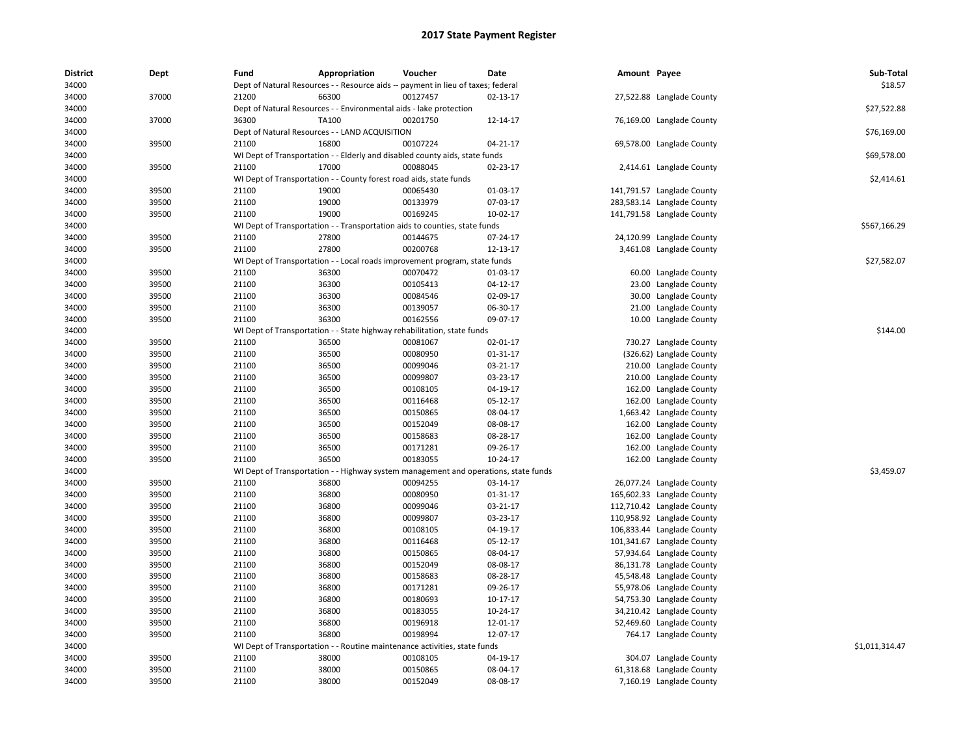| <b>District</b> | Dept  | Fund  | Appropriation                                                                       | Voucher  | Date     | Amount Payee |                            | Sub-Total      |
|-----------------|-------|-------|-------------------------------------------------------------------------------------|----------|----------|--------------|----------------------------|----------------|
| 34000           |       |       | Dept of Natural Resources - - Resource aids -- payment in lieu of taxes; federal    |          |          |              |                            | \$18.57        |
| 34000           | 37000 | 21200 | 66300                                                                               | 00127457 | 02-13-17 |              | 27,522.88 Langlade County  |                |
| 34000           |       |       | Dept of Natural Resources - - Environmental aids - lake protection                  |          |          |              |                            | \$27,522.88    |
| 34000           | 37000 | 36300 | TA100                                                                               | 00201750 | 12-14-17 |              | 76,169.00 Langlade County  |                |
| 34000           |       |       | Dept of Natural Resources - - LAND ACQUISITION                                      |          |          |              |                            | \$76,169.00    |
| 34000           | 39500 | 21100 | 16800                                                                               | 00107224 | 04-21-17 |              | 69,578.00 Langlade County  |                |
| 34000           |       |       | WI Dept of Transportation - - Elderly and disabled county aids, state funds         |          |          |              |                            | \$69,578.00    |
| 34000           | 39500 | 21100 | 17000                                                                               | 00088045 | 02-23-17 |              | 2,414.61 Langlade County   |                |
| 34000           |       |       | WI Dept of Transportation - - County forest road aids, state funds                  |          |          |              |                            | \$2,414.61     |
| 34000           | 39500 | 21100 | 19000                                                                               | 00065430 | 01-03-17 |              | 141,791.57 Langlade County |                |
| 34000           | 39500 | 21100 | 19000                                                                               | 00133979 | 07-03-17 |              | 283,583.14 Langlade County |                |
| 34000           | 39500 | 21100 | 19000                                                                               | 00169245 | 10-02-17 |              | 141,791.58 Langlade County |                |
| 34000           |       |       | WI Dept of Transportation - - Transportation aids to counties, state funds          |          |          |              |                            | \$567,166.29   |
| 34000           | 39500 | 21100 | 27800                                                                               | 00144675 | 07-24-17 |              | 24,120.99 Langlade County  |                |
| 34000           | 39500 | 21100 | 27800                                                                               | 00200768 | 12-13-17 |              | 3,461.08 Langlade County   |                |
| 34000           |       |       | WI Dept of Transportation - - Local roads improvement program, state funds          |          |          |              |                            | \$27,582.07    |
| 34000           | 39500 | 21100 | 36300                                                                               | 00070472 | 01-03-17 |              | 60.00 Langlade County      |                |
| 34000           | 39500 | 21100 | 36300                                                                               | 00105413 | 04-12-17 |              | 23.00 Langlade County      |                |
| 34000           | 39500 | 21100 | 36300                                                                               | 00084546 | 02-09-17 |              | 30.00 Langlade County      |                |
| 34000           | 39500 | 21100 | 36300                                                                               | 00139057 | 06-30-17 |              | 21.00 Langlade County      |                |
| 34000           | 39500 | 21100 | 36300                                                                               | 00162556 | 09-07-17 |              | 10.00 Langlade County      |                |
| 34000           |       |       | WI Dept of Transportation - - State highway rehabilitation, state funds             |          |          |              |                            | \$144.00       |
| 34000           | 39500 | 21100 | 36500                                                                               | 00081067 | 02-01-17 |              | 730.27 Langlade County     |                |
| 34000           | 39500 | 21100 | 36500                                                                               | 00080950 | 01-31-17 |              | (326.62) Langlade County   |                |
| 34000           | 39500 | 21100 | 36500                                                                               | 00099046 | 03-21-17 |              | 210.00 Langlade County     |                |
| 34000           | 39500 | 21100 | 36500                                                                               | 00099807 | 03-23-17 |              | 210.00 Langlade County     |                |
| 34000           | 39500 | 21100 | 36500                                                                               | 00108105 | 04-19-17 |              | 162.00 Langlade County     |                |
| 34000           | 39500 | 21100 | 36500                                                                               | 00116468 | 05-12-17 |              | 162.00 Langlade County     |                |
| 34000           | 39500 | 21100 | 36500                                                                               | 00150865 | 08-04-17 |              | 1,663.42 Langlade County   |                |
| 34000           | 39500 | 21100 | 36500                                                                               | 00152049 | 08-08-17 |              | 162.00 Langlade County     |                |
| 34000           | 39500 | 21100 | 36500                                                                               | 00158683 | 08-28-17 |              | 162.00 Langlade County     |                |
| 34000           | 39500 | 21100 | 36500                                                                               | 00171281 | 09-26-17 |              | 162.00 Langlade County     |                |
| 34000           | 39500 | 21100 | 36500                                                                               | 00183055 | 10-24-17 |              | 162.00 Langlade County     |                |
| 34000           |       |       | WI Dept of Transportation - - Highway system management and operations, state funds |          |          |              |                            | \$3,459.07     |
| 34000           | 39500 | 21100 | 36800                                                                               | 00094255 | 03-14-17 |              | 26,077.24 Langlade County  |                |
| 34000           | 39500 | 21100 | 36800                                                                               | 00080950 | 01-31-17 |              | 165,602.33 Langlade County |                |
| 34000           | 39500 | 21100 | 36800                                                                               | 00099046 | 03-21-17 |              | 112,710.42 Langlade County |                |
| 34000           | 39500 | 21100 | 36800                                                                               | 00099807 | 03-23-17 |              | 110,958.92 Langlade County |                |
| 34000           | 39500 | 21100 | 36800                                                                               | 00108105 | 04-19-17 |              | 106,833.44 Langlade County |                |
| 34000           | 39500 | 21100 | 36800                                                                               | 00116468 | 05-12-17 |              | 101,341.67 Langlade County |                |
| 34000           | 39500 | 21100 | 36800                                                                               | 00150865 | 08-04-17 |              | 57,934.64 Langlade County  |                |
| 34000           | 39500 | 21100 | 36800                                                                               | 00152049 | 08-08-17 |              | 86,131.78 Langlade County  |                |
| 34000           | 39500 | 21100 | 36800                                                                               | 00158683 | 08-28-17 |              | 45,548.48 Langlade County  |                |
| 34000           | 39500 | 21100 | 36800                                                                               | 00171281 | 09-26-17 |              | 55,978.06 Langlade County  |                |
| 34000           | 39500 | 21100 | 36800                                                                               | 00180693 | 10-17-17 |              | 54,753.30 Langlade County  |                |
| 34000           | 39500 | 21100 | 36800                                                                               | 00183055 | 10-24-17 |              | 34,210.42 Langlade County  |                |
| 34000           | 39500 | 21100 | 36800                                                                               | 00196918 | 12-01-17 |              | 52,469.60 Langlade County  |                |
| 34000           | 39500 | 21100 | 36800                                                                               | 00198994 | 12-07-17 |              | 764.17 Langlade County     |                |
| 34000           |       |       | WI Dept of Transportation - - Routine maintenance activities, state funds           |          |          |              |                            | \$1,011,314.47 |
| 34000           | 39500 | 21100 | 38000                                                                               | 00108105 | 04-19-17 |              | 304.07 Langlade County     |                |
| 34000           | 39500 | 21100 | 38000                                                                               | 00150865 | 08-04-17 |              | 61,318.68 Langlade County  |                |
| 34000           | 39500 | 21100 | 38000                                                                               | 00152049 | 08-08-17 |              | 7,160.19 Langlade County   |                |
|                 |       |       |                                                                                     |          |          |              |                            |                |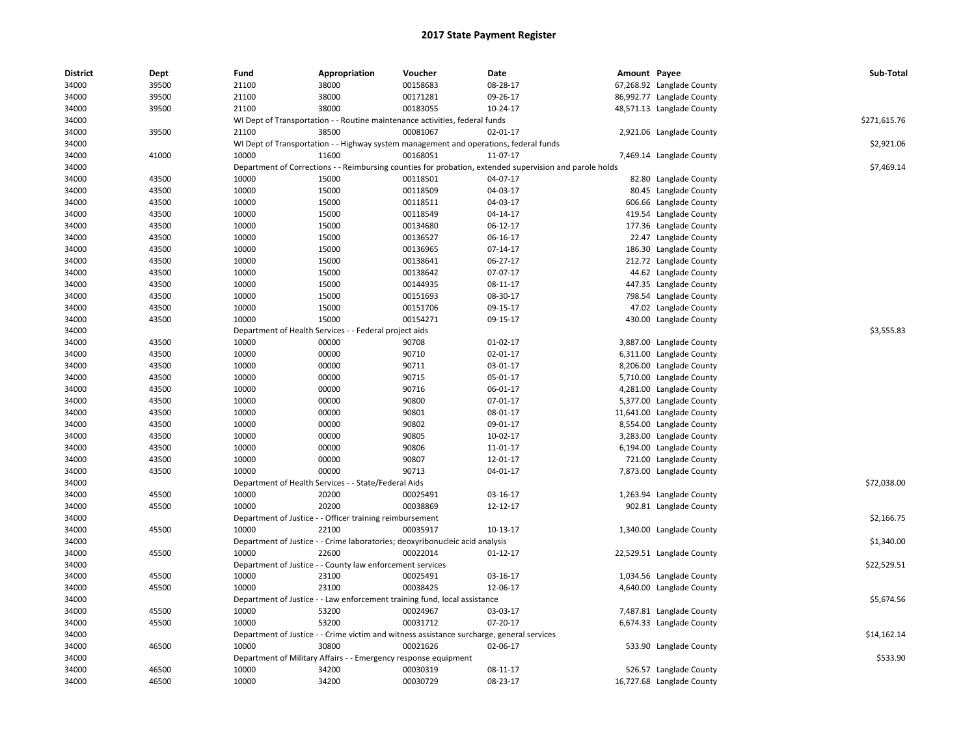| <b>District</b> | Dept  | Fund  | Appropriation                                                                | Voucher  | Date                                                                                                    | Amount Payee |                           | Sub-Total    |
|-----------------|-------|-------|------------------------------------------------------------------------------|----------|---------------------------------------------------------------------------------------------------------|--------------|---------------------------|--------------|
| 34000           | 39500 | 21100 | 38000                                                                        | 00158683 | 08-28-17                                                                                                |              | 67,268.92 Langlade County |              |
| 34000           | 39500 | 21100 | 38000                                                                        | 00171281 | 09-26-17                                                                                                |              | 86,992.77 Langlade County |              |
| 34000           | 39500 | 21100 | 38000                                                                        | 00183055 | 10-24-17                                                                                                |              | 48,571.13 Langlade County |              |
| 34000           |       |       | WI Dept of Transportation - - Routine maintenance activities, federal funds  |          |                                                                                                         |              |                           | \$271,615.76 |
| 34000           | 39500 | 21100 | 38500                                                                        | 00081067 | 02-01-17                                                                                                |              | 2,921.06 Langlade County  |              |
| 34000           |       |       |                                                                              |          | WI Dept of Transportation - - Highway system management and operations, federal funds                   |              |                           | \$2,921.06   |
| 34000           | 41000 | 10000 | 11600                                                                        | 00168051 | 11-07-17                                                                                                |              | 7,469.14 Langlade County  |              |
| 34000           |       |       |                                                                              |          | Department of Corrections - - Reimbursing counties for probation, extended supervision and parole holds |              |                           | \$7,469.14   |
| 34000           | 43500 | 10000 | 15000                                                                        | 00118501 | 04-07-17                                                                                                |              | 82.80 Langlade County     |              |
| 34000           | 43500 | 10000 | 15000                                                                        | 00118509 | 04-03-17                                                                                                |              | 80.45 Langlade County     |              |
| 34000           | 43500 | 10000 | 15000                                                                        | 00118511 | 04-03-17                                                                                                |              | 606.66 Langlade County    |              |
| 34000           | 43500 | 10000 | 15000                                                                        | 00118549 | 04-14-17                                                                                                |              | 419.54 Langlade County    |              |
| 34000           | 43500 | 10000 | 15000                                                                        | 00134680 | 06-12-17                                                                                                |              | 177.36 Langlade County    |              |
| 34000           | 43500 | 10000 | 15000                                                                        | 00136527 | 06-16-17                                                                                                |              | 22.47 Langlade County     |              |
| 34000           | 43500 | 10000 | 15000                                                                        | 00136965 | 07-14-17                                                                                                |              | 186.30 Langlade County    |              |
| 34000           | 43500 | 10000 | 15000                                                                        | 00138641 | 06-27-17                                                                                                |              | 212.72 Langlade County    |              |
| 34000           | 43500 | 10000 | 15000                                                                        | 00138642 | 07-07-17                                                                                                |              | 44.62 Langlade County     |              |
| 34000           | 43500 | 10000 | 15000                                                                        | 00144935 | 08-11-17                                                                                                |              | 447.35 Langlade County    |              |
| 34000           | 43500 | 10000 | 15000                                                                        | 00151693 | 08-30-17                                                                                                |              | 798.54 Langlade County    |              |
| 34000           | 43500 | 10000 | 15000                                                                        | 00151706 | 09-15-17                                                                                                |              | 47.02 Langlade County     |              |
| 34000           | 43500 | 10000 | 15000                                                                        | 00154271 | 09-15-17                                                                                                |              | 430.00 Langlade County    |              |
| 34000           |       |       | Department of Health Services - - Federal project aids                       |          |                                                                                                         |              |                           | \$3,555.83   |
| 34000           | 43500 | 10000 | 00000                                                                        | 90708    | 01-02-17                                                                                                |              | 3,887.00 Langlade County  |              |
| 34000           | 43500 | 10000 | 00000                                                                        | 90710    | 02-01-17                                                                                                |              | 6,311.00 Langlade County  |              |
| 34000           | 43500 | 10000 | 00000                                                                        | 90711    | 03-01-17                                                                                                |              | 8,206.00 Langlade County  |              |
| 34000           | 43500 | 10000 | 00000                                                                        | 90715    | 05-01-17                                                                                                |              | 5,710.00 Langlade County  |              |
| 34000           | 43500 | 10000 | 00000                                                                        | 90716    | 06-01-17                                                                                                |              | 4,281.00 Langlade County  |              |
| 34000           | 43500 | 10000 | 00000                                                                        | 90800    | 07-01-17                                                                                                |              | 5,377.00 Langlade County  |              |
| 34000           | 43500 | 10000 | 00000                                                                        | 90801    | 08-01-17                                                                                                |              | 11,641.00 Langlade County |              |
| 34000           | 43500 | 10000 | 00000                                                                        | 90802    | 09-01-17                                                                                                |              | 8,554.00 Langlade County  |              |
| 34000           | 43500 | 10000 | 00000                                                                        | 90805    | 10-02-17                                                                                                |              | 3,283.00 Langlade County  |              |
| 34000           | 43500 | 10000 | 00000                                                                        | 90806    | 11-01-17                                                                                                |              | 6,194.00 Langlade County  |              |
| 34000           | 43500 | 10000 | 00000                                                                        | 90807    | 12-01-17                                                                                                |              | 721.00 Langlade County    |              |
| 34000           | 43500 | 10000 | 00000                                                                        | 90713    | 04-01-17                                                                                                |              | 7,873.00 Langlade County  |              |
| 34000           |       |       | Department of Health Services - - State/Federal Aids                         |          |                                                                                                         |              |                           | \$72,038.00  |
| 34000           | 45500 | 10000 | 20200                                                                        | 00025491 | 03-16-17                                                                                                |              | 1,263.94 Langlade County  |              |
| 34000           | 45500 | 10000 | 20200                                                                        | 00038869 | 12-12-17                                                                                                |              | 902.81 Langlade County    |              |
| 34000           |       |       | Department of Justice - - Officer training reimbursement                     |          |                                                                                                         |              |                           | \$2,166.75   |
| 34000           | 45500 | 10000 | 22100                                                                        | 00035917 | 10-13-17                                                                                                |              | 1,340.00 Langlade County  |              |
| 34000           |       |       | Department of Justice - - Crime laboratories; deoxyribonucleic acid analysis |          |                                                                                                         |              |                           | \$1,340.00   |
| 34000           | 45500 | 10000 | 22600                                                                        | 00022014 | $01 - 12 - 17$                                                                                          |              | 22,529.51 Langlade County |              |
| 34000           |       |       | Department of Justice - - County law enforcement services                    |          |                                                                                                         |              |                           | \$22,529.51  |
| 34000           | 45500 | 10000 | 23100                                                                        | 00025491 | 03-16-17                                                                                                |              | 1,034.56 Langlade County  |              |
| 34000           | 45500 | 10000 | 23100                                                                        | 00038425 | 12-06-17                                                                                                |              | 4,640.00 Langlade County  |              |
| 34000           |       |       | Department of Justice - - Law enforcement training fund, local assistance    |          |                                                                                                         |              |                           | \$5,674.56   |
| 34000           | 45500 | 10000 | 53200                                                                        | 00024967 | 03-03-17                                                                                                |              | 7,487.81 Langlade County  |              |
| 34000           | 45500 | 10000 | 53200                                                                        | 00031712 | 07-20-17                                                                                                |              | 6,674.33 Langlade County  |              |
| 34000           |       |       |                                                                              |          | Department of Justice - - Crime victim and witness assistance surcharge, general services               |              |                           | \$14,162.14  |
| 34000           | 46500 | 10000 | 30800                                                                        | 00021626 | 02-06-17                                                                                                |              | 533.90 Langlade County    |              |
| 34000           |       |       | Department of Military Affairs - - Emergency response equipment              |          |                                                                                                         |              |                           | \$533.90     |
| 34000           | 46500 | 10000 | 34200                                                                        | 00030319 | 08-11-17                                                                                                |              | 526.57 Langlade County    |              |
| 34000           | 46500 | 10000 | 34200                                                                        | 00030729 | 08-23-17                                                                                                |              | 16,727.68 Langlade County |              |
|                 |       |       |                                                                              |          |                                                                                                         |              |                           |              |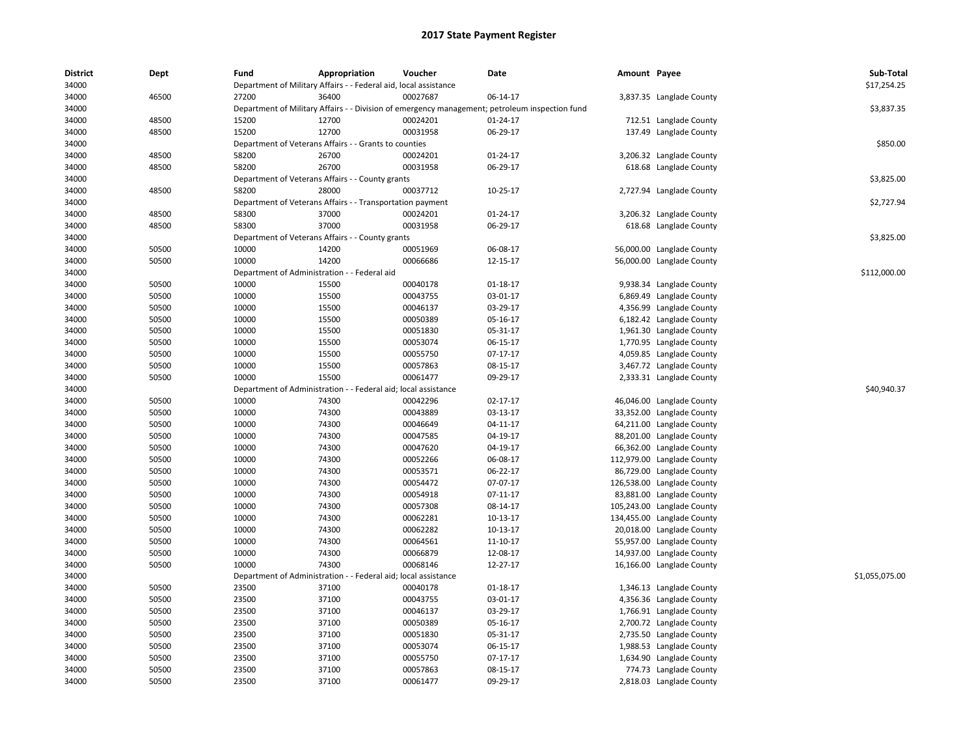| <b>District</b> | Dept  | Fund                                         | Appropriation                                                    | Voucher                                     | Date                                                                                           | Amount Payee |                            | Sub-Total      |
|-----------------|-------|----------------------------------------------|------------------------------------------------------------------|---------------------------------------------|------------------------------------------------------------------------------------------------|--------------|----------------------------|----------------|
| 34000           |       |                                              | Department of Military Affairs - - Federal aid, local assistance |                                             |                                                                                                |              |                            | \$17,254.25    |
| 34000           | 46500 | 27200                                        | 36400                                                            | 00027687                                    | 06-14-17                                                                                       |              | 3,837.35 Langlade County   |                |
| 34000           |       |                                              |                                                                  |                                             | Department of Military Affairs - - Division of emergency management; petroleum inspection fund |              |                            | \$3,837.35     |
| 34000           | 48500 | 15200                                        | 12700                                                            | 00024201                                    | 01-24-17                                                                                       |              | 712.51 Langlade County     |                |
| 34000           | 48500 | 15200                                        | 12700                                                            | 00031958                                    | 06-29-17                                                                                       |              | 137.49 Langlade County     |                |
| 34000           |       |                                              | Department of Veterans Affairs - - Grants to counties            |                                             |                                                                                                |              |                            | \$850.00       |
| 34000           | 48500 | 58200                                        | 26700                                                            | 00024201                                    | 01-24-17                                                                                       |              | 3,206.32 Langlade County   |                |
| 34000           | 48500 | 58200                                        | 26700                                                            | 00031958                                    | 06-29-17                                                                                       |              | 618.68 Langlade County     |                |
| 34000           |       |                                              | Department of Veterans Affairs - - County grants                 |                                             |                                                                                                |              |                            | \$3,825.00     |
| 34000           | 48500 | 58200                                        | 28000                                                            | 00037712                                    | 10-25-17                                                                                       |              | 2,727.94 Langlade County   |                |
| 34000           |       |                                              | Department of Veterans Affairs - - Transportation payment        |                                             |                                                                                                |              |                            | \$2,727.94     |
| 34000           | 48500 | 58300                                        | 37000                                                            | 00024201                                    | 01-24-17                                                                                       |              | 3,206.32 Langlade County   |                |
| 34000           | 48500 | 58300                                        | 37000                                                            | 00031958                                    | 06-29-17                                                                                       |              | 618.68 Langlade County     |                |
| 34000           |       |                                              | Department of Veterans Affairs - - County grants                 |                                             |                                                                                                |              |                            | \$3,825.00     |
| 34000           | 50500 | 10000                                        | 14200                                                            | 00051969                                    | 06-08-17                                                                                       |              | 56,000.00 Langlade County  |                |
| 34000           | 50500 | 10000                                        | 14200                                                            | 00066686                                    | 12-15-17                                                                                       |              | 56,000.00 Langlade County  |                |
| 34000           |       | Department of Administration - - Federal aid |                                                                  |                                             |                                                                                                |              |                            | \$112,000.00   |
| 34000           | 50500 | 10000                                        | 15500                                                            | 00040178                                    | 01-18-17                                                                                       |              | 9,938.34 Langlade County   |                |
| 34000           | 50500 | 10000                                        | 15500                                                            | 00043755                                    | 03-01-17                                                                                       |              | 6,869.49 Langlade County   |                |
| 34000           | 50500 | 10000                                        | 15500                                                            | 00046137                                    | 03-29-17                                                                                       |              | 4,356.99 Langlade County   |                |
| 34000           | 50500 | 10000                                        | 15500                                                            | 00050389                                    | 05-16-17                                                                                       |              | 6,182.42 Langlade County   |                |
| 34000           | 50500 | 10000                                        | 15500                                                            | 00051830                                    | 05-31-17                                                                                       |              | 1,961.30 Langlade County   |                |
| 34000           | 50500 | 10000                                        | 15500                                                            | 00053074                                    | 06-15-17                                                                                       |              | 1,770.95 Langlade County   |                |
| 34000           | 50500 | 10000                                        | 15500                                                            | 00055750                                    | 07-17-17                                                                                       |              | 4,059.85 Langlade County   |                |
| 34000           | 50500 | 10000                                        | 15500                                                            | 00057863                                    | 08-15-17                                                                                       |              | 3,467.72 Langlade County   |                |
| 34000           | 50500 | 10000                                        | 15500                                                            | 00061477                                    | 09-29-17                                                                                       |              |                            |                |
|                 |       |                                              |                                                                  |                                             |                                                                                                |              | 2,333.31 Langlade County   | \$40.940.37    |
| 34000           | 50500 | Department of Administration<br>10000        | 74300                                                            | - Federal aid; local assistance<br>00042296 |                                                                                                |              |                            |                |
| 34000           |       |                                              |                                                                  |                                             | 02-17-17                                                                                       |              | 46,046.00 Langlade County  |                |
| 34000           | 50500 | 10000                                        | 74300                                                            | 00043889                                    | 03-13-17                                                                                       |              | 33,352.00 Langlade County  |                |
| 34000           | 50500 | 10000                                        | 74300                                                            | 00046649                                    | 04-11-17                                                                                       |              | 64,211.00 Langlade County  |                |
| 34000           | 50500 | 10000                                        | 74300                                                            | 00047585                                    | 04-19-17                                                                                       |              | 88,201.00 Langlade County  |                |
| 34000           | 50500 | 10000                                        | 74300                                                            | 00047620                                    | 04-19-17                                                                                       |              | 66,362.00 Langlade County  |                |
| 34000           | 50500 | 10000                                        | 74300                                                            | 00052266                                    | 06-08-17                                                                                       |              | 112,979.00 Langlade County |                |
| 34000           | 50500 | 10000                                        | 74300                                                            | 00053571                                    | 06-22-17                                                                                       |              | 86,729.00 Langlade County  |                |
| 34000           | 50500 | 10000                                        | 74300                                                            | 00054472                                    | 07-07-17                                                                                       |              | 126,538.00 Langlade County |                |
| 34000           | 50500 | 10000                                        | 74300                                                            | 00054918                                    | 07-11-17                                                                                       |              | 83,881.00 Langlade County  |                |
| 34000           | 50500 | 10000                                        | 74300                                                            | 00057308                                    | 08-14-17                                                                                       |              | 105,243.00 Langlade County |                |
| 34000           | 50500 | 10000                                        | 74300                                                            | 00062281                                    | 10-13-17                                                                                       |              | 134,455.00 Langlade County |                |
| 34000           | 50500 | 10000                                        | 74300                                                            | 00062282                                    | 10-13-17                                                                                       |              | 20,018.00 Langlade County  |                |
| 34000           | 50500 | 10000                                        | 74300                                                            | 00064561                                    | 11-10-17                                                                                       |              | 55,957.00 Langlade County  |                |
| 34000           | 50500 | 10000                                        | 74300                                                            | 00066879                                    | 12-08-17                                                                                       |              | 14,937.00 Langlade County  |                |
| 34000           | 50500 | 10000                                        | 74300                                                            | 00068146                                    | 12-27-17                                                                                       |              | 16,166.00 Langlade County  |                |
| 34000           |       |                                              | Department of Administration - - Federal aid; local assistance   |                                             |                                                                                                |              |                            | \$1,055,075.00 |
| 34000           | 50500 | 23500                                        | 37100                                                            | 00040178                                    | 01-18-17                                                                                       |              | 1,346.13 Langlade County   |                |
| 34000           | 50500 | 23500                                        | 37100                                                            | 00043755                                    | 03-01-17                                                                                       |              | 4,356.36 Langlade County   |                |
| 34000           | 50500 | 23500                                        | 37100                                                            | 00046137                                    | 03-29-17                                                                                       |              | 1,766.91 Langlade County   |                |
| 34000           | 50500 | 23500                                        | 37100                                                            | 00050389                                    | 05-16-17                                                                                       |              | 2,700.72 Langlade County   |                |
| 34000           | 50500 | 23500                                        | 37100                                                            | 00051830                                    | 05-31-17                                                                                       |              | 2,735.50 Langlade County   |                |
| 34000           | 50500 | 23500                                        | 37100                                                            | 00053074                                    | 06-15-17                                                                                       |              | 1,988.53 Langlade County   |                |
| 34000           | 50500 | 23500                                        | 37100                                                            | 00055750                                    | 07-17-17                                                                                       |              | 1,634.90 Langlade County   |                |
| 34000           | 50500 | 23500                                        | 37100                                                            | 00057863                                    | 08-15-17                                                                                       |              | 774.73 Langlade County     |                |
| 34000           | 50500 | 23500                                        | 37100                                                            | 00061477                                    | 09-29-17                                                                                       |              | 2,818.03 Langlade County   |                |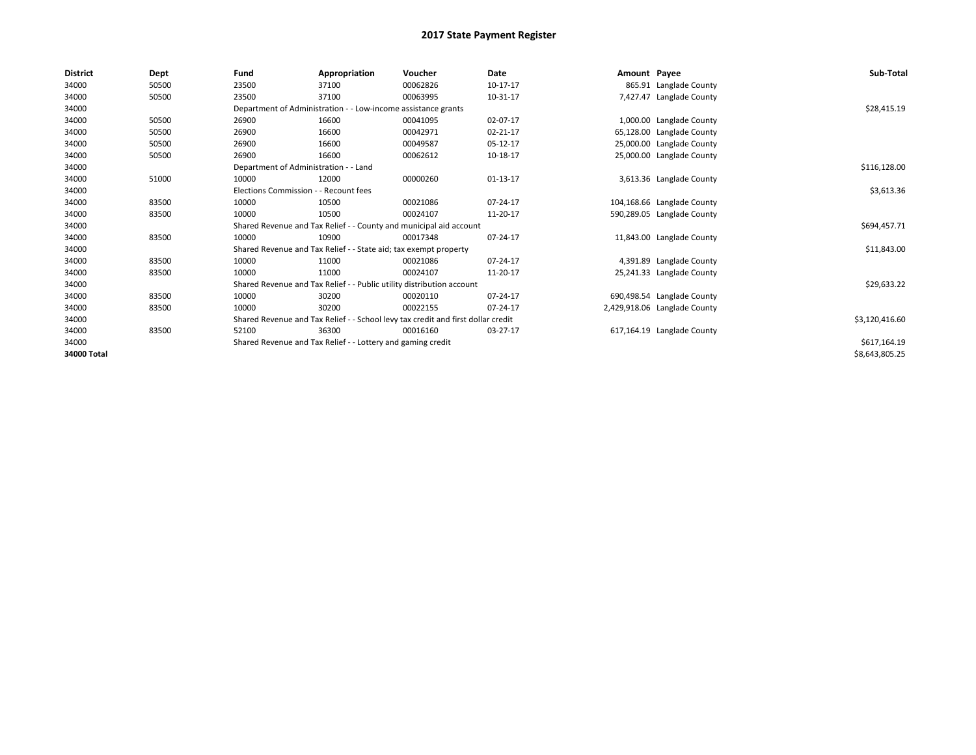| <b>District</b> | Dept  | Fund                                                        | Appropriation                                                         | Voucher                                                                          | <b>Date</b> | Amount Payee |                              | Sub-Total      |
|-----------------|-------|-------------------------------------------------------------|-----------------------------------------------------------------------|----------------------------------------------------------------------------------|-------------|--------------|------------------------------|----------------|
| 34000           | 50500 | 23500                                                       | 37100                                                                 | 00062826                                                                         | 10-17-17    |              | 865.91 Langlade County       |                |
| 34000           | 50500 | 23500                                                       | 37100                                                                 | 00063995                                                                         | 10-31-17    |              | 7,427.47 Langlade County     |                |
| 34000           |       |                                                             | Department of Administration - - Low-income assistance grants         |                                                                                  |             |              |                              | \$28,415.19    |
| 34000           | 50500 | 26900                                                       | 16600                                                                 | 00041095                                                                         | 02-07-17    |              | 1,000.00 Langlade County     |                |
| 34000           | 50500 | 26900                                                       | 16600                                                                 | 00042971                                                                         | 02-21-17    |              | 65,128.00 Langlade County    |                |
| 34000           | 50500 | 26900                                                       | 16600                                                                 | 00049587                                                                         | 05-12-17    |              | 25,000.00 Langlade County    |                |
| 34000           | 50500 | 26900                                                       | 16600                                                                 | 00062612                                                                         | 10-18-17    |              | 25,000.00 Langlade County    |                |
| 34000           |       | Department of Administration - - Land                       |                                                                       | \$116,128.00                                                                     |             |              |                              |                |
| 34000           | 51000 | 10000                                                       | 12000                                                                 | 00000260                                                                         | $01-13-17$  |              | 3,613.36 Langlade County     |                |
| 34000           |       | Elections Commission - - Recount fees                       |                                                                       |                                                                                  |             |              |                              | \$3,613.36     |
| 34000           | 83500 | 10000                                                       | 10500                                                                 | 00021086                                                                         | 07-24-17    |              | 104,168.66 Langlade County   |                |
| 34000           | 83500 | 10000                                                       | 10500                                                                 | 00024107                                                                         | 11-20-17    |              | 590,289.05 Langlade County   |                |
| 34000           |       |                                                             |                                                                       | Shared Revenue and Tax Relief - - County and municipal aid account               |             |              |                              | \$694,457.71   |
| 34000           | 83500 | 10000                                                       | 10900                                                                 | 00017348                                                                         | 07-24-17    |              | 11,843.00 Langlade County    |                |
| 34000           |       |                                                             | Shared Revenue and Tax Relief - - State aid; tax exempt property      |                                                                                  |             |              |                              | \$11,843.00    |
| 34000           | 83500 | 10000                                                       | 11000                                                                 | 00021086                                                                         | 07-24-17    |              | 4,391.89 Langlade County     |                |
| 34000           | 83500 | 10000                                                       | 11000                                                                 | 00024107                                                                         | 11-20-17    |              | 25,241.33 Langlade County    |                |
| 34000           |       |                                                             | Shared Revenue and Tax Relief - - Public utility distribution account |                                                                                  |             |              |                              | \$29,633.22    |
| 34000           | 83500 | 10000                                                       | 30200                                                                 | 00020110                                                                         | 07-24-17    |              | 690,498.54 Langlade County   |                |
| 34000           | 83500 | 10000                                                       | 30200                                                                 | 00022155                                                                         | 07-24-17    |              | 2,429,918.06 Langlade County |                |
| 34000           |       |                                                             |                                                                       | Shared Revenue and Tax Relief - - School levy tax credit and first dollar credit |             |              |                              | \$3,120,416.60 |
| 34000           | 83500 | 52100                                                       | 36300                                                                 | 00016160                                                                         | 03-27-17    |              | 617,164.19 Langlade County   |                |
| 34000           |       | Shared Revenue and Tax Relief - - Lottery and gaming credit |                                                                       | \$617,164.19                                                                     |             |              |                              |                |
| 34000 Total     |       |                                                             |                                                                       |                                                                                  |             |              |                              | \$8,643,805.25 |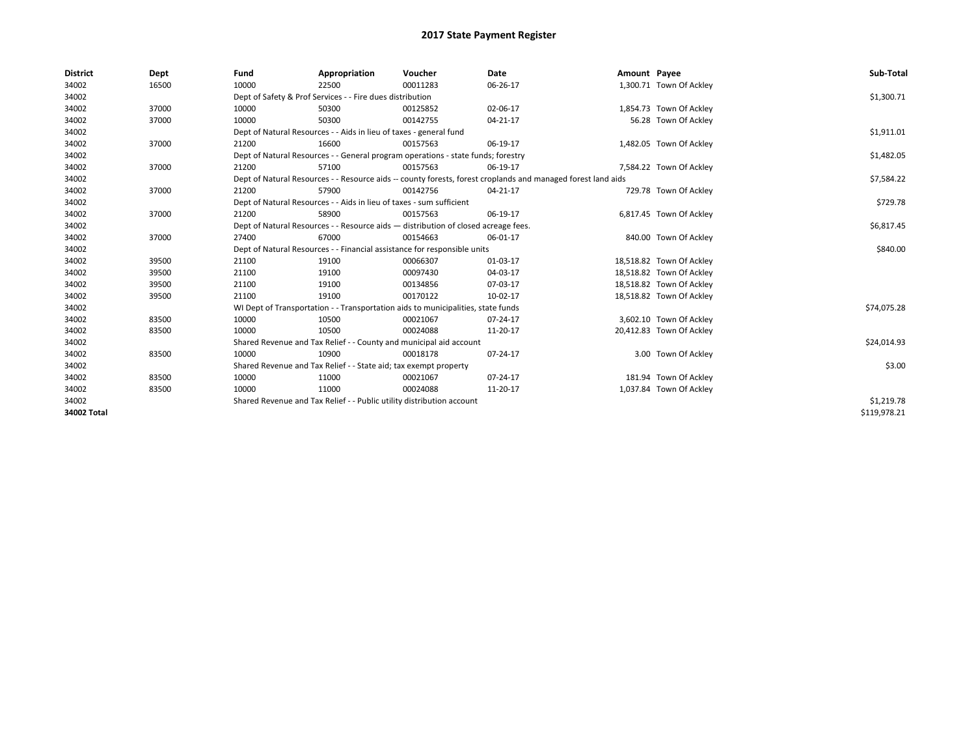| <b>District</b> | Dept  | Fund                                                                               | Appropriation                                                                                                | Voucher    | Date     | Amount Payee |                          | Sub-Total    |  |  |  |
|-----------------|-------|------------------------------------------------------------------------------------|--------------------------------------------------------------------------------------------------------------|------------|----------|--------------|--------------------------|--------------|--|--|--|
| 34002           | 16500 | 10000                                                                              | 22500                                                                                                        | 00011283   | 06-26-17 |              | 1,300.71 Town Of Ackley  |              |  |  |  |
| 34002           |       |                                                                                    | Dept of Safety & Prof Services - - Fire dues distribution                                                    |            |          |              |                          | \$1,300.71   |  |  |  |
| 34002           | 37000 | 10000                                                                              | 50300                                                                                                        | 00125852   | 02-06-17 |              | 1,854.73 Town Of Ackley  |              |  |  |  |
| 34002           | 37000 | 10000                                                                              | 50300                                                                                                        | 00142755   | 04-21-17 |              | 56.28 Town Of Ackley     |              |  |  |  |
| 34002           |       |                                                                                    | Dept of Natural Resources - - Aids in lieu of taxes - general fund                                           |            |          |              |                          |              |  |  |  |
| 34002           | 37000 | 21200                                                                              | 16600                                                                                                        | 00157563   | 06-19-17 |              | 1,482.05 Town Of Ackley  |              |  |  |  |
| 34002           |       |                                                                                    | Dept of Natural Resources - - General program operations - state funds; forestry                             |            |          |              |                          |              |  |  |  |
| 34002           | 37000 | 21200                                                                              | 57100                                                                                                        | 00157563   | 06-19-17 |              | 7,584.22 Town Of Ackley  |              |  |  |  |
| 34002           |       |                                                                                    | Dept of Natural Resources - - Resource aids -- county forests, forest croplands and managed forest land aids |            |          |              |                          |              |  |  |  |
| 34002           | 37000 | 21200                                                                              | 57900                                                                                                        | 00142756   | 04-21-17 |              | 729.78 Town Of Ackley    |              |  |  |  |
| 34002           |       |                                                                                    | Dept of Natural Resources - - Aids in lieu of taxes - sum sufficient                                         |            |          |              |                          | \$729.78     |  |  |  |
| 34002           | 37000 | 21200                                                                              | 58900                                                                                                        | 00157563   | 06-19-17 |              | 6,817.45 Town Of Ackley  |              |  |  |  |
| 34002           |       | Dept of Natural Resources - - Resource aids - distribution of closed acreage fees. |                                                                                                              | \$6,817.45 |          |              |                          |              |  |  |  |
| 34002           | 37000 | 27400                                                                              | 67000                                                                                                        | 00154663   | 06-01-17 |              | 840.00 Town Of Ackley    |              |  |  |  |
| 34002           |       |                                                                                    | Dept of Natural Resources - - Financial assistance for responsible units                                     |            |          |              |                          | \$840.00     |  |  |  |
| 34002           | 39500 | 21100                                                                              | 19100                                                                                                        | 00066307   | 01-03-17 |              | 18,518.82 Town Of Ackley |              |  |  |  |
| 34002           | 39500 | 21100                                                                              | 19100                                                                                                        | 00097430   | 04-03-17 |              | 18,518.82 Town Of Ackley |              |  |  |  |
| 34002           | 39500 | 21100                                                                              | 19100                                                                                                        | 00134856   | 07-03-17 |              | 18,518.82 Town Of Ackley |              |  |  |  |
| 34002           | 39500 | 21100                                                                              | 19100                                                                                                        | 00170122   | 10-02-17 |              | 18,518.82 Town Of Ackley |              |  |  |  |
| 34002           |       |                                                                                    | WI Dept of Transportation - - Transportation aids to municipalities, state funds                             |            |          |              |                          | \$74,075.28  |  |  |  |
| 34002           | 83500 | 10000                                                                              | 10500                                                                                                        | 00021067   | 07-24-17 |              | 3,602.10 Town Of Ackley  |              |  |  |  |
| 34002           | 83500 | 10000                                                                              | 10500                                                                                                        | 00024088   | 11-20-17 |              | 20,412.83 Town Of Ackley |              |  |  |  |
| 34002           |       |                                                                                    | Shared Revenue and Tax Relief - - County and municipal aid account                                           |            |          |              |                          | \$24,014.93  |  |  |  |
| 34002           | 83500 | 10000                                                                              | 10900                                                                                                        | 00018178   | 07-24-17 |              | 3.00 Town Of Ackley      |              |  |  |  |
| 34002           |       |                                                                                    | Shared Revenue and Tax Relief - - State aid; tax exempt property                                             |            |          |              |                          | \$3.00       |  |  |  |
| 34002           | 83500 | 10000                                                                              | 11000                                                                                                        | 00021067   | 07-24-17 |              | 181.94 Town Of Ackley    |              |  |  |  |
| 34002           | 83500 | 10000                                                                              | 11000                                                                                                        | 00024088   | 11-20-17 |              | 1,037.84 Town Of Ackley  |              |  |  |  |
| 34002           |       |                                                                                    | Shared Revenue and Tax Relief - - Public utility distribution account                                        |            |          |              |                          | \$1,219.78   |  |  |  |
| 34002 Total     |       |                                                                                    |                                                                                                              |            |          |              |                          | \$119,978.21 |  |  |  |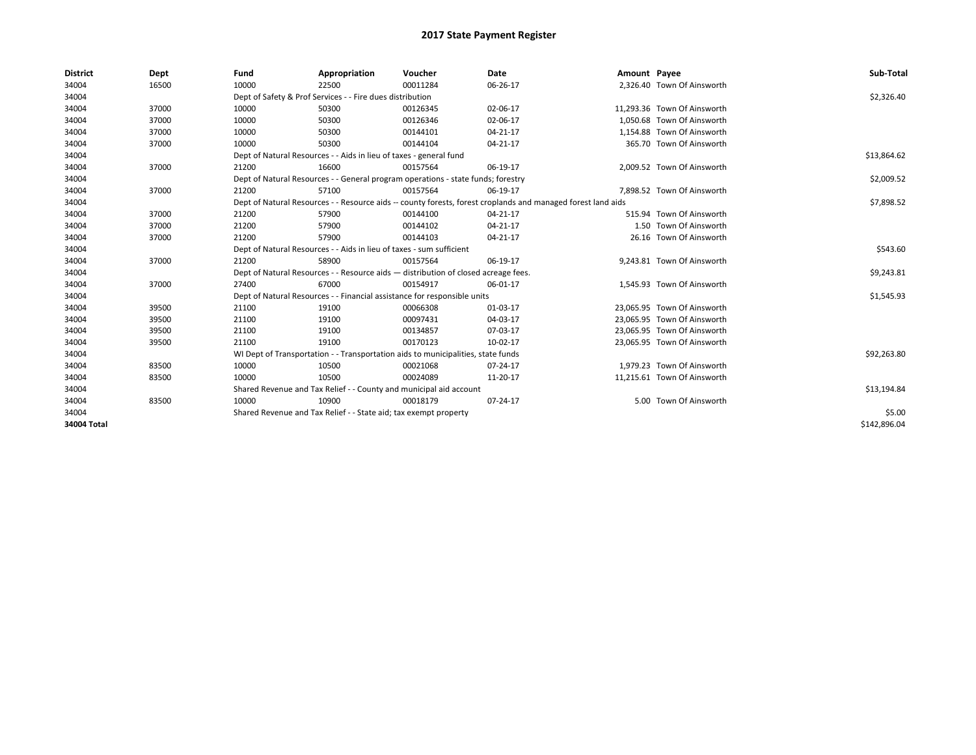| <b>District</b> | Dept  | Fund                                                               | Appropriation                                                                      | Voucher     | <b>Date</b>                                                                                                  | Amount Payee |                             | Sub-Total    |
|-----------------|-------|--------------------------------------------------------------------|------------------------------------------------------------------------------------|-------------|--------------------------------------------------------------------------------------------------------------|--------------|-----------------------------|--------------|
| 34004           | 16500 | 10000                                                              | 22500                                                                              | 00011284    | 06-26-17                                                                                                     |              | 2,326.40 Town Of Ainsworth  |              |
| 34004           |       |                                                                    | Dept of Safety & Prof Services - - Fire dues distribution                          |             |                                                                                                              |              |                             | \$2,326.40   |
| 34004           | 37000 | 10000                                                              | 50300                                                                              | 00126345    | 02-06-17                                                                                                     |              | 11.293.36 Town Of Ainsworth |              |
| 34004           | 37000 | 10000                                                              | 50300                                                                              | 00126346    | 02-06-17                                                                                                     |              | 1.050.68 Town Of Ainsworth  |              |
| 34004           | 37000 | 10000                                                              | 50300                                                                              | 00144101    | 04-21-17                                                                                                     |              | 1,154.88 Town Of Ainsworth  |              |
| 34004           | 37000 | 10000                                                              | 50300                                                                              | 00144104    | 04-21-17                                                                                                     |              | 365.70 Town Of Ainsworth    |              |
| 34004           |       | Dept of Natural Resources - - Aids in lieu of taxes - general fund |                                                                                    | \$13,864.62 |                                                                                                              |              |                             |              |
| 34004           | 37000 | 21200                                                              | 16600                                                                              | 00157564    | 06-19-17                                                                                                     |              | 2,009.52 Town Of Ainsworth  |              |
| 34004           |       |                                                                    | Dept of Natural Resources - - General program operations - state funds; forestry   |             |                                                                                                              |              |                             | \$2,009.52   |
| 34004           | 37000 | 21200                                                              | 57100                                                                              | 00157564    | 06-19-17                                                                                                     |              | 7,898.52 Town Of Ainsworth  |              |
| 34004           |       |                                                                    |                                                                                    |             | Dept of Natural Resources - - Resource aids -- county forests, forest croplands and managed forest land aids |              |                             | \$7,898.52   |
| 34004           | 37000 | 21200                                                              | 57900                                                                              | 00144100    | 04-21-17                                                                                                     |              | 515.94 Town Of Ainsworth    |              |
| 34004           | 37000 | 21200                                                              | 57900                                                                              | 00144102    | 04-21-17                                                                                                     |              | 1.50 Town Of Ainsworth      |              |
| 34004           | 37000 | 21200                                                              | 57900                                                                              | 00144103    | 04-21-17                                                                                                     |              | 26.16 Town Of Ainsworth     |              |
| 34004           |       |                                                                    | Dept of Natural Resources - - Aids in lieu of taxes - sum sufficient               |             |                                                                                                              |              |                             | \$543.60     |
| 34004           | 37000 | 21200                                                              | 58900                                                                              | 00157564    | 06-19-17                                                                                                     |              | 9.243.81 Town Of Ainsworth  |              |
| 34004           |       |                                                                    | Dept of Natural Resources - - Resource aids - distribution of closed acreage fees. |             |                                                                                                              |              |                             | \$9,243.81   |
| 34004           | 37000 | 27400                                                              | 67000                                                                              | 00154917    | 06-01-17                                                                                                     |              | 1.545.93 Town Of Ainsworth  |              |
| 34004           |       |                                                                    | Dept of Natural Resources - - Financial assistance for responsible units           |             |                                                                                                              |              |                             | \$1,545.93   |
| 34004           | 39500 | 21100                                                              | 19100                                                                              | 00066308    | 01-03-17                                                                                                     |              | 23.065.95 Town Of Ainsworth |              |
| 34004           | 39500 | 21100                                                              | 19100                                                                              | 00097431    | 04-03-17                                                                                                     |              | 23.065.95 Town Of Ainsworth |              |
| 34004           | 39500 | 21100                                                              | 19100                                                                              | 00134857    | 07-03-17                                                                                                     |              | 23.065.95 Town Of Ainsworth |              |
| 34004           | 39500 | 21100                                                              | 19100                                                                              | 00170123    | 10-02-17                                                                                                     |              | 23,065.95 Town Of Ainsworth |              |
| 34004           |       |                                                                    | WI Dept of Transportation - - Transportation aids to municipalities, state funds   |             |                                                                                                              |              |                             | \$92,263.80  |
| 34004           | 83500 | 10000                                                              | 10500                                                                              | 00021068    | 07-24-17                                                                                                     |              | 1.979.23 Town Of Ainsworth  |              |
| 34004           | 83500 | 10000                                                              | 10500                                                                              | 00024089    | 11-20-17                                                                                                     |              | 11.215.61 Town Of Ainsworth |              |
| 34004           |       |                                                                    | Shared Revenue and Tax Relief - - County and municipal aid account                 |             |                                                                                                              |              |                             | \$13,194.84  |
| 34004           | 83500 | 10000                                                              | 10900                                                                              | 00018179    | 07-24-17                                                                                                     |              | 5.00 Town Of Ainsworth      |              |
| 34004           |       | Shared Revenue and Tax Relief - - State aid; tax exempt property   |                                                                                    | \$5.00      |                                                                                                              |              |                             |              |
| 34004 Total     |       |                                                                    |                                                                                    |             |                                                                                                              |              |                             | \$142,896.04 |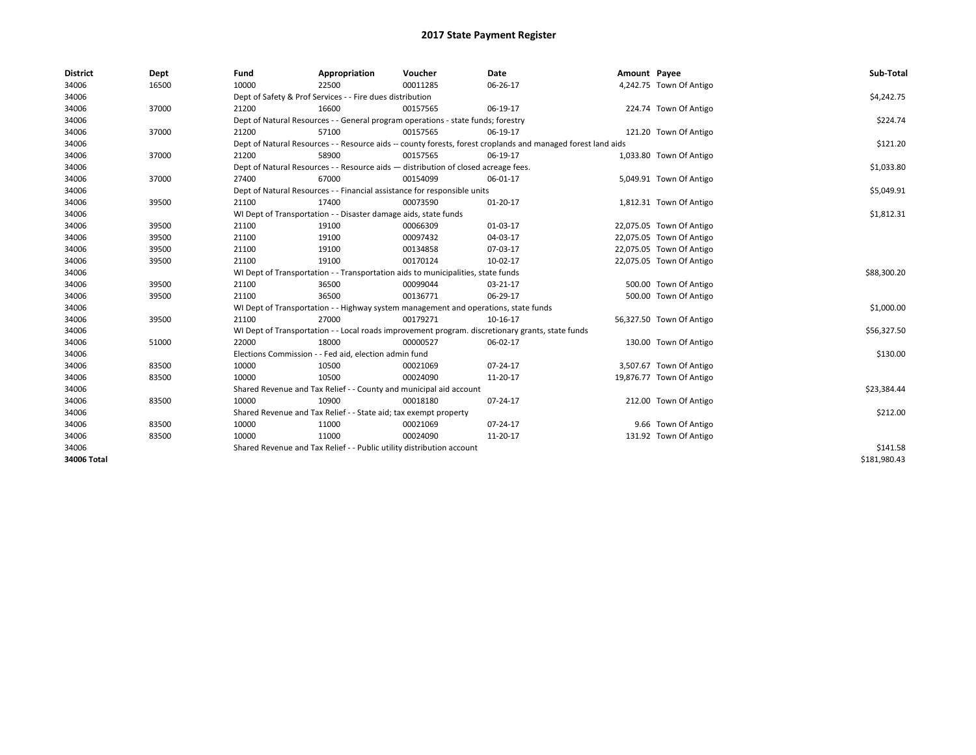| <b>District</b> | Dept  | Fund                                                                  | Appropriation                                                                       | Voucher  | Date                                                                                                         | Amount Payee |                          | Sub-Total    |
|-----------------|-------|-----------------------------------------------------------------------|-------------------------------------------------------------------------------------|----------|--------------------------------------------------------------------------------------------------------------|--------------|--------------------------|--------------|
| 34006           | 16500 | 10000                                                                 | 22500                                                                               | 00011285 | 06-26-17                                                                                                     |              | 4,242.75 Town Of Antigo  |              |
| 34006           |       |                                                                       | Dept of Safety & Prof Services - - Fire dues distribution                           |          |                                                                                                              |              |                          | \$4,242.75   |
| 34006           | 37000 | 21200                                                                 | 16600                                                                               | 00157565 | 06-19-17                                                                                                     |              | 224.74 Town Of Antigo    |              |
| 34006           |       |                                                                       | Dept of Natural Resources - - General program operations - state funds; forestry    |          |                                                                                                              |              |                          | \$224.74     |
| 34006           | 37000 | 21200                                                                 | 57100                                                                               | 00157565 | 06-19-17                                                                                                     |              | 121.20 Town Of Antigo    |              |
| 34006           |       |                                                                       |                                                                                     |          | Dept of Natural Resources - - Resource aids -- county forests, forest croplands and managed forest land aids |              |                          | \$121.20     |
| 34006           | 37000 | 21200                                                                 | 58900                                                                               | 00157565 | 06-19-17                                                                                                     |              | 1,033.80 Town Of Antigo  |              |
| 34006           |       |                                                                       | Dept of Natural Resources - - Resource aids - distribution of closed acreage fees.  |          |                                                                                                              |              |                          | \$1,033.80   |
| 34006           | 37000 | 27400                                                                 | 67000                                                                               | 00154099 | 06-01-17                                                                                                     |              | 5,049.91 Town Of Antigo  |              |
| 34006           |       |                                                                       | Dept of Natural Resources - - Financial assistance for responsible units            |          |                                                                                                              |              |                          | \$5,049.91   |
| 34006           | 39500 | 21100                                                                 | 17400                                                                               | 00073590 | $01 - 20 - 17$                                                                                               |              | 1,812.31 Town Of Antigo  |              |
| 34006           |       |                                                                       | WI Dept of Transportation - - Disaster damage aids, state funds                     |          |                                                                                                              |              |                          | \$1,812.31   |
| 34006           | 39500 | 21100                                                                 | 19100                                                                               | 00066309 | 01-03-17                                                                                                     |              | 22,075.05 Town Of Antigo |              |
| 34006           | 39500 | 21100                                                                 | 19100                                                                               | 00097432 | 04-03-17                                                                                                     |              | 22,075.05 Town Of Antigo |              |
| 34006           | 39500 | 21100                                                                 | 19100                                                                               | 00134858 | 07-03-17                                                                                                     |              | 22,075.05 Town Of Antigo |              |
| 34006           | 39500 | 21100                                                                 | 19100                                                                               | 00170124 | 10-02-17                                                                                                     |              | 22,075.05 Town Of Antigo |              |
| 34006           |       |                                                                       | WI Dept of Transportation - - Transportation aids to municipalities, state funds    |          |                                                                                                              |              |                          | \$88,300.20  |
| 34006           | 39500 | 21100                                                                 | 36500                                                                               | 00099044 | 03-21-17                                                                                                     |              | 500.00 Town Of Antigo    |              |
| 34006           | 39500 | 21100                                                                 | 36500                                                                               | 00136771 | 06-29-17                                                                                                     |              | 500.00 Town Of Antigo    |              |
| 34006           |       |                                                                       | WI Dept of Transportation - - Highway system management and operations, state funds |          |                                                                                                              |              |                          | \$1,000.00   |
| 34006           | 39500 | 21100                                                                 | 27000                                                                               | 00179271 | 10-16-17                                                                                                     |              | 56,327.50 Town Of Antigo |              |
| 34006           |       |                                                                       |                                                                                     |          | WI Dept of Transportation - - Local roads improvement program. discretionary grants, state funds             |              |                          | \$56,327.50  |
| 34006           | 51000 | 22000                                                                 | 18000                                                                               | 00000527 | 06-02-17                                                                                                     |              | 130.00 Town Of Antigo    |              |
| 34006           |       |                                                                       | Elections Commission - - Fed aid, election admin fund                               |          |                                                                                                              |              |                          | \$130.00     |
| 34006           | 83500 | 10000                                                                 | 10500                                                                               | 00021069 | 07-24-17                                                                                                     |              | 3,507.67 Town Of Antigo  |              |
| 34006           | 83500 | 10000                                                                 | 10500                                                                               | 00024090 | 11-20-17                                                                                                     |              | 19,876.77 Town Of Antigo |              |
| 34006           |       |                                                                       | Shared Revenue and Tax Relief - - County and municipal aid account                  |          |                                                                                                              |              |                          | \$23,384.44  |
| 34006           | 83500 | 10000                                                                 | 10900                                                                               | 00018180 | 07-24-17                                                                                                     |              | 212.00 Town Of Antigo    |              |
| 34006           |       |                                                                       | Shared Revenue and Tax Relief - - State aid; tax exempt property                    |          |                                                                                                              |              |                          | \$212.00     |
| 34006           | 83500 | 10000                                                                 | 11000                                                                               | 00021069 | 07-24-17                                                                                                     |              | 9.66 Town Of Antigo      |              |
| 34006           | 83500 | 10000                                                                 | 11000                                                                               | 00024090 | 11-20-17                                                                                                     |              | 131.92 Town Of Antigo    |              |
| 34006           |       | Shared Revenue and Tax Relief - - Public utility distribution account |                                                                                     | \$141.58 |                                                                                                              |              |                          |              |
| 34006 Total     |       |                                                                       |                                                                                     |          |                                                                                                              |              |                          | \$181,980.43 |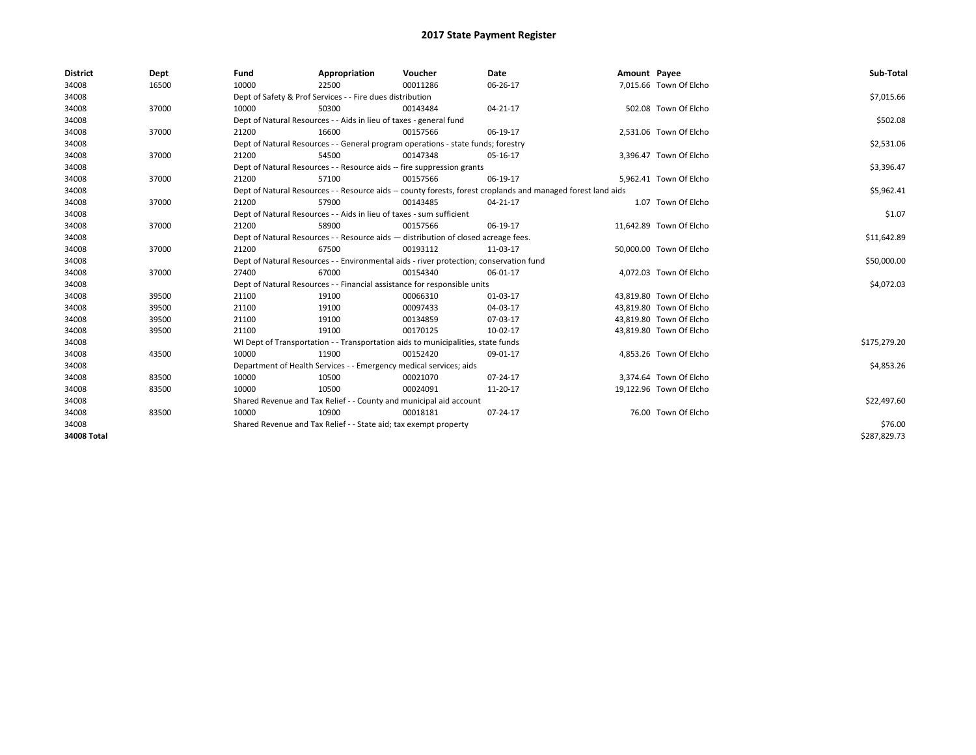| <b>District</b> | Dept  | Fund                                                             | Appropriation                                                                      | Voucher                                                                                | Date                                                                                                         | Amount Payee |                         | Sub-Total    |  |  |  |
|-----------------|-------|------------------------------------------------------------------|------------------------------------------------------------------------------------|----------------------------------------------------------------------------------------|--------------------------------------------------------------------------------------------------------------|--------------|-------------------------|--------------|--|--|--|
| 34008           | 16500 | 10000                                                            | 22500                                                                              | 00011286                                                                               | 06-26-17                                                                                                     |              | 7,015.66 Town Of Elcho  |              |  |  |  |
| 34008           |       |                                                                  | Dept of Safety & Prof Services - - Fire dues distribution                          |                                                                                        |                                                                                                              |              |                         | \$7,015.66   |  |  |  |
| 34008           | 37000 | 10000                                                            | 50300                                                                              | 00143484                                                                               | 04-21-17                                                                                                     |              | 502.08 Town Of Elcho    |              |  |  |  |
| 34008           |       |                                                                  | Dept of Natural Resources - - Aids in lieu of taxes - general fund                 |                                                                                        |                                                                                                              |              |                         | \$502.08     |  |  |  |
| 34008           | 37000 | 21200                                                            | 16600                                                                              | 00157566                                                                               | 06-19-17                                                                                                     |              | 2,531.06 Town Of Elcho  |              |  |  |  |
| 34008           |       |                                                                  |                                                                                    | Dept of Natural Resources - - General program operations - state funds; forestry       |                                                                                                              |              |                         | \$2,531.06   |  |  |  |
| 34008           | 37000 | 21200                                                            | 54500                                                                              | 00147348                                                                               | 05-16-17                                                                                                     |              | 3,396.47 Town Of Elcho  |              |  |  |  |
| 34008           |       |                                                                  |                                                                                    | Dept of Natural Resources - - Resource aids -- fire suppression grants                 |                                                                                                              |              |                         | \$3,396.47   |  |  |  |
| 34008           | 37000 | 21200                                                            | 57100                                                                              | 00157566                                                                               | 06-19-17                                                                                                     |              | 5,962.41 Town Of Elcho  |              |  |  |  |
| 34008           |       |                                                                  |                                                                                    |                                                                                        | Dept of Natural Resources - - Resource aids -- county forests, forest croplands and managed forest land aids |              |                         | \$5,962.41   |  |  |  |
| 34008           | 37000 | 21200                                                            | 57900                                                                              | 00143485                                                                               | 04-21-17                                                                                                     |              | 1.07 Town Of Elcho      |              |  |  |  |
| 34008           |       |                                                                  | Dept of Natural Resources - - Aids in lieu of taxes - sum sufficient               |                                                                                        |                                                                                                              |              |                         | \$1.07       |  |  |  |
| 34008           | 37000 | 21200                                                            | 58900                                                                              | 00157566                                                                               | 06-19-17                                                                                                     |              | 11,642.89 Town Of Elcho |              |  |  |  |
| 34008           |       |                                                                  | Dept of Natural Resources - - Resource aids - distribution of closed acreage fees. |                                                                                        |                                                                                                              |              |                         |              |  |  |  |
| 34008           | 37000 | 21200                                                            | 67500                                                                              | 00193112                                                                               | 11-03-17                                                                                                     |              | 50,000.00 Town Of Elcho |              |  |  |  |
| 34008           |       |                                                                  |                                                                                    | Dept of Natural Resources - - Environmental aids - river protection; conservation fund |                                                                                                              |              |                         | \$50,000.00  |  |  |  |
| 34008           | 37000 | 27400                                                            | 67000                                                                              | 00154340                                                                               | 06-01-17                                                                                                     |              | 4,072.03 Town Of Elcho  |              |  |  |  |
| 34008           |       |                                                                  |                                                                                    | Dept of Natural Resources - - Financial assistance for responsible units               |                                                                                                              |              |                         | \$4,072.03   |  |  |  |
| 34008           | 39500 | 21100                                                            | 19100                                                                              | 00066310                                                                               | 01-03-17                                                                                                     |              | 43,819.80 Town Of Elcho |              |  |  |  |
| 34008           | 39500 | 21100                                                            | 19100                                                                              | 00097433                                                                               | 04-03-17                                                                                                     |              | 43.819.80 Town Of Elcho |              |  |  |  |
| 34008           | 39500 | 21100                                                            | 19100                                                                              | 00134859                                                                               | 07-03-17                                                                                                     |              | 43,819.80 Town Of Elcho |              |  |  |  |
| 34008           | 39500 | 21100                                                            | 19100                                                                              | 00170125                                                                               | 10-02-17                                                                                                     |              | 43,819.80 Town Of Elcho |              |  |  |  |
| 34008           |       |                                                                  |                                                                                    | WI Dept of Transportation - - Transportation aids to municipalities, state funds       |                                                                                                              |              |                         | \$175,279.20 |  |  |  |
| 34008           | 43500 | 10000                                                            | 11900                                                                              | 00152420                                                                               | 09-01-17                                                                                                     |              | 4.853.26 Town Of Elcho  |              |  |  |  |
| 34008           |       |                                                                  | Department of Health Services - - Emergency medical services; aids                 |                                                                                        |                                                                                                              |              |                         | \$4,853.26   |  |  |  |
| 34008           | 83500 | 10000                                                            | 10500                                                                              | 00021070                                                                               | $07 - 24 - 17$                                                                                               |              | 3,374.64 Town Of Elcho  |              |  |  |  |
| 34008           | 83500 | 10000                                                            | 10500                                                                              | 00024091                                                                               | 11-20-17                                                                                                     |              | 19,122.96 Town Of Elcho |              |  |  |  |
| 34008           |       |                                                                  | Shared Revenue and Tax Relief - - County and municipal aid account                 |                                                                                        |                                                                                                              |              |                         | \$22,497.60  |  |  |  |
| 34008           | 83500 | 10000                                                            | 10900                                                                              | 00018181                                                                               | 07-24-17                                                                                                     |              | 76.00 Town Of Elcho     |              |  |  |  |
| 34008           |       | Shared Revenue and Tax Relief - - State aid; tax exempt property |                                                                                    | \$76.00                                                                                |                                                                                                              |              |                         |              |  |  |  |
| 34008 Total     |       |                                                                  |                                                                                    |                                                                                        |                                                                                                              |              |                         | \$287,829.73 |  |  |  |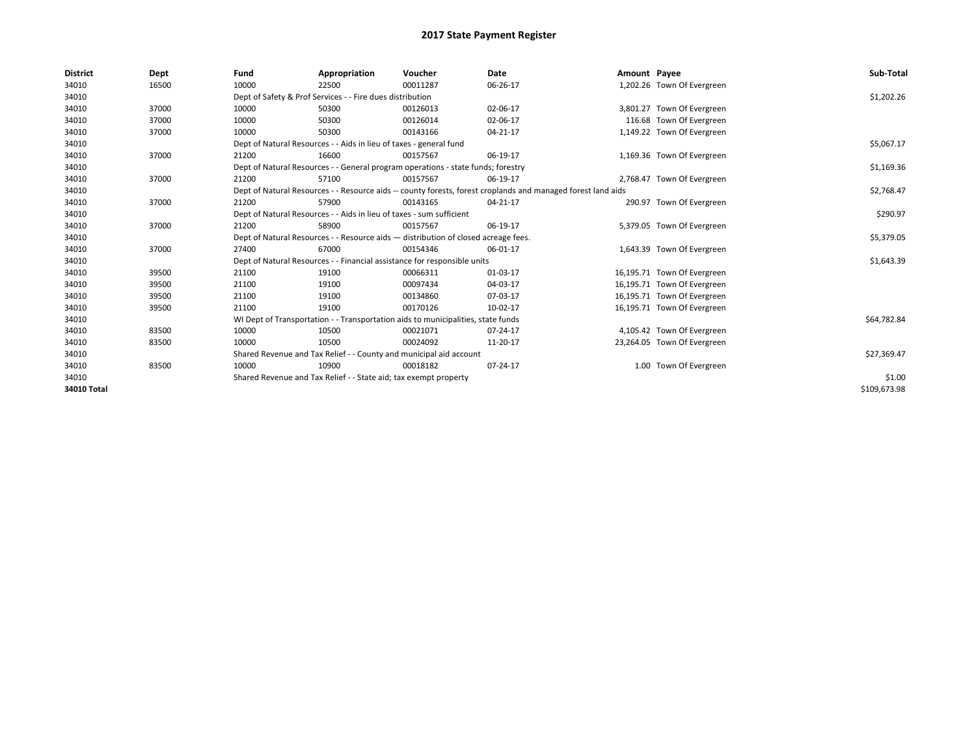| <b>District</b> | Dept  | Fund                                                                 | Appropriation                                                                                                | Voucher  | Date     | Amount Payee |                             | Sub-Total    |  |  |  |
|-----------------|-------|----------------------------------------------------------------------|--------------------------------------------------------------------------------------------------------------|----------|----------|--------------|-----------------------------|--------------|--|--|--|
| 34010           | 16500 | 10000                                                                | 22500                                                                                                        | 00011287 | 06-26-17 |              | 1,202.26 Town Of Evergreen  |              |  |  |  |
| 34010           |       |                                                                      | Dept of Safety & Prof Services - - Fire dues distribution                                                    |          |          |              |                             | \$1,202.26   |  |  |  |
| 34010           | 37000 | 10000                                                                | 50300                                                                                                        | 00126013 | 02-06-17 |              | 3,801.27 Town Of Evergreen  |              |  |  |  |
| 34010           | 37000 | 10000                                                                | 50300                                                                                                        | 00126014 | 02-06-17 |              | 116.68 Town Of Evergreen    |              |  |  |  |
| 34010           | 37000 | 10000                                                                | 50300                                                                                                        | 00143166 | 04-21-17 |              | 1,149.22 Town Of Evergreen  |              |  |  |  |
| 34010           |       |                                                                      | Dept of Natural Resources - - Aids in lieu of taxes - general fund                                           |          |          |              |                             | \$5,067.17   |  |  |  |
| 34010           | 37000 | 21200                                                                | 16600                                                                                                        | 00157567 | 06-19-17 |              | 1,169.36 Town Of Evergreen  |              |  |  |  |
| 34010           |       |                                                                      | Dept of Natural Resources - - General program operations - state funds; forestry                             |          |          |              |                             | \$1,169.36   |  |  |  |
| 34010           | 37000 | 21200                                                                | 57100                                                                                                        | 00157567 | 06-19-17 |              | 2,768.47 Town Of Evergreen  |              |  |  |  |
| 34010           |       |                                                                      | Dept of Natural Resources - - Resource aids -- county forests, forest croplands and managed forest land aids |          |          |              |                             |              |  |  |  |
| 34010           | 37000 | 21200                                                                | 57900                                                                                                        | 00143165 | 04-21-17 |              | 290.97 Town Of Evergreen    |              |  |  |  |
| 34010           |       | Dept of Natural Resources - - Aids in lieu of taxes - sum sufficient |                                                                                                              | \$290.97 |          |              |                             |              |  |  |  |
| 34010           | 37000 | 21200                                                                | 58900                                                                                                        | 00157567 | 06-19-17 |              | 5,379.05 Town Of Evergreen  |              |  |  |  |
| 34010           |       |                                                                      | Dept of Natural Resources - - Resource aids - distribution of closed acreage fees.                           |          |          |              |                             | \$5,379.05   |  |  |  |
| 34010           | 37000 | 27400                                                                | 67000                                                                                                        | 00154346 | 06-01-17 |              | 1,643.39 Town Of Evergreen  |              |  |  |  |
| 34010           |       |                                                                      | Dept of Natural Resources - - Financial assistance for responsible units                                     |          |          |              |                             | \$1,643.39   |  |  |  |
| 34010           | 39500 | 21100                                                                | 19100                                                                                                        | 00066311 | 01-03-17 |              | 16,195.71 Town Of Evergreen |              |  |  |  |
| 34010           | 39500 | 21100                                                                | 19100                                                                                                        | 00097434 | 04-03-17 |              | 16,195.71 Town Of Evergreen |              |  |  |  |
| 34010           | 39500 | 21100                                                                | 19100                                                                                                        | 00134860 | 07-03-17 |              | 16,195.71 Town Of Evergreen |              |  |  |  |
| 34010           | 39500 | 21100                                                                | 19100                                                                                                        | 00170126 | 10-02-17 |              | 16,195.71 Town Of Evergreen |              |  |  |  |
| 34010           |       |                                                                      | WI Dept of Transportation - - Transportation aids to municipalities, state funds                             |          |          |              |                             | \$64,782.84  |  |  |  |
| 34010           | 83500 | 10000                                                                | 10500                                                                                                        | 00021071 | 07-24-17 |              | 4,105.42 Town Of Evergreen  |              |  |  |  |
| 34010           | 83500 | 10000                                                                | 10500                                                                                                        | 00024092 | 11-20-17 |              | 23,264.05 Town Of Evergreen |              |  |  |  |
| 34010           |       |                                                                      | Shared Revenue and Tax Relief - - County and municipal aid account                                           |          |          |              |                             | \$27,369.47  |  |  |  |
| 34010           | 83500 | 10000                                                                | 10900                                                                                                        | 00018182 | 07-24-17 |              | 1.00 Town Of Evergreen      |              |  |  |  |
| 34010           |       | Shared Revenue and Tax Relief - - State aid; tax exempt property     |                                                                                                              | \$1.00   |          |              |                             |              |  |  |  |
| 34010 Total     |       |                                                                      |                                                                                                              |          |          |              |                             | \$109,673.98 |  |  |  |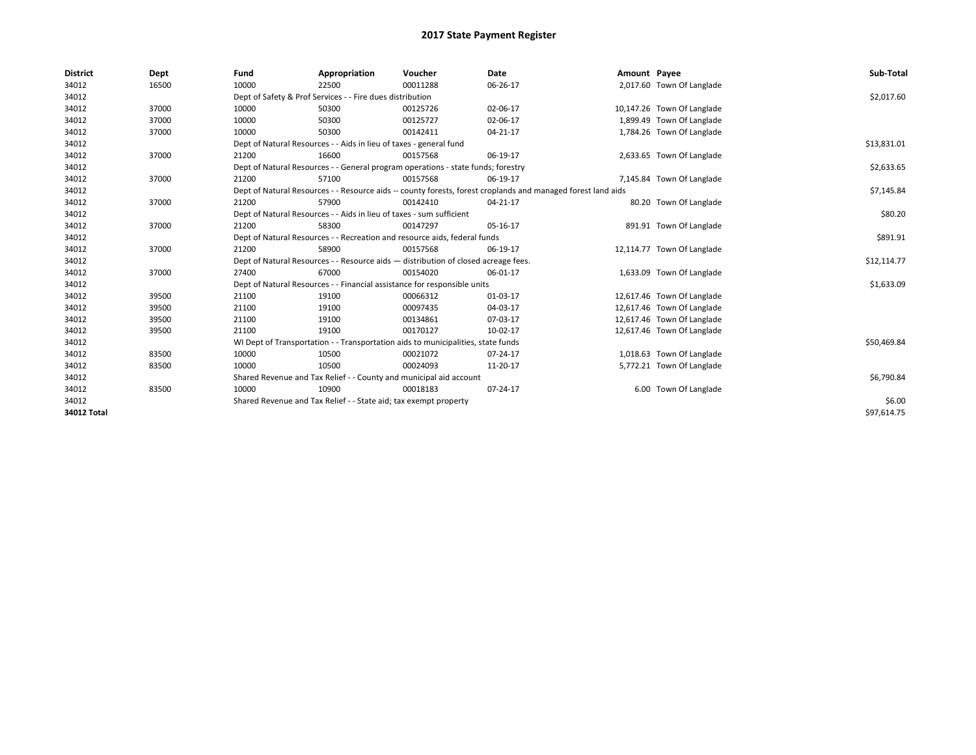| <b>District</b>    | Dept  | Fund                                                             | Appropriation                                                        | Voucher                                                                            | <b>Date</b>                                                                                                  | Amount Payee |                            | Sub-Total   |
|--------------------|-------|------------------------------------------------------------------|----------------------------------------------------------------------|------------------------------------------------------------------------------------|--------------------------------------------------------------------------------------------------------------|--------------|----------------------------|-------------|
| 34012              | 16500 | 10000                                                            | 22500                                                                | 00011288                                                                           | 06-26-17                                                                                                     |              | 2,017.60 Town Of Langlade  |             |
| 34012              |       |                                                                  | Dept of Safety & Prof Services - - Fire dues distribution            |                                                                                    |                                                                                                              |              |                            | \$2,017.60  |
| 34012              | 37000 | 10000                                                            | 50300                                                                | 00125726                                                                           | 02-06-17                                                                                                     |              | 10,147.26 Town Of Langlade |             |
| 34012              | 37000 | 10000                                                            | 50300                                                                | 00125727                                                                           | 02-06-17                                                                                                     |              | 1,899.49 Town Of Langlade  |             |
| 34012              | 37000 | 10000                                                            | 50300                                                                | 00142411                                                                           | 04-21-17                                                                                                     |              | 1,784.26 Town Of Langlade  |             |
| 34012              |       |                                                                  | Dept of Natural Resources - - Aids in lieu of taxes - general fund   |                                                                                    |                                                                                                              |              |                            | \$13,831.01 |
| 34012              | 37000 | 21200                                                            | 16600                                                                | 00157568                                                                           | 06-19-17                                                                                                     |              | 2,633.65 Town Of Langlade  |             |
| 34012              |       |                                                                  |                                                                      | Dept of Natural Resources - - General program operations - state funds; forestry   |                                                                                                              |              |                            | \$2,633.65  |
| 34012              | 37000 | 21200                                                            | 57100                                                                | 00157568                                                                           | 06-19-17                                                                                                     |              | 7,145.84 Town Of Langlade  |             |
| 34012              |       |                                                                  |                                                                      |                                                                                    | Dept of Natural Resources - - Resource aids -- county forests, forest croplands and managed forest land aids |              |                            | \$7,145.84  |
| 34012              | 37000 | 21200                                                            | 57900                                                                | 00142410                                                                           | 04-21-17                                                                                                     |              | 80.20 Town Of Langlade     |             |
| 34012              |       |                                                                  | Dept of Natural Resources - - Aids in lieu of taxes - sum sufficient |                                                                                    |                                                                                                              |              |                            | \$80.20     |
| 34012              | 37000 | 21200                                                            | 58300                                                                | 00147297                                                                           | 05-16-17                                                                                                     |              | 891.91 Town Of Langlade    |             |
| 34012              |       |                                                                  |                                                                      | Dept of Natural Resources - - Recreation and resource aids, federal funds          |                                                                                                              |              |                            | \$891.91    |
| 34012              | 37000 | 21200                                                            | 58900                                                                | 00157568                                                                           | 06-19-17                                                                                                     |              | 12,114.77 Town Of Langlade |             |
| 34012              |       |                                                                  |                                                                      | Dept of Natural Resources - - Resource aids - distribution of closed acreage fees. |                                                                                                              |              |                            | \$12,114.77 |
| 34012              | 37000 | 27400                                                            | 67000                                                                | 00154020                                                                           | 06-01-17                                                                                                     |              | 1,633.09 Town Of Langlade  |             |
| 34012              |       |                                                                  |                                                                      | Dept of Natural Resources - - Financial assistance for responsible units           |                                                                                                              |              |                            | \$1,633.09  |
| 34012              | 39500 | 21100                                                            | 19100                                                                | 00066312                                                                           | 01-03-17                                                                                                     |              | 12,617.46 Town Of Langlade |             |
| 34012              | 39500 | 21100                                                            | 19100                                                                | 00097435                                                                           | 04-03-17                                                                                                     |              | 12,617.46 Town Of Langlade |             |
| 34012              | 39500 | 21100                                                            | 19100                                                                | 00134861                                                                           | 07-03-17                                                                                                     |              | 12,617.46 Town Of Langlade |             |
| 34012              | 39500 | 21100                                                            | 19100                                                                | 00170127                                                                           | 10-02-17                                                                                                     |              | 12,617.46 Town Of Langlade |             |
| 34012              |       |                                                                  |                                                                      | WI Dept of Transportation - - Transportation aids to municipalities, state funds   |                                                                                                              |              |                            | \$50,469.84 |
| 34012              | 83500 | 10000                                                            | 10500                                                                | 00021072                                                                           | 07-24-17                                                                                                     |              | 1,018.63 Town Of Langlade  |             |
| 34012              | 83500 | 10000                                                            | 10500                                                                | 00024093                                                                           | 11-20-17                                                                                                     |              | 5,772.21 Town Of Langlade  |             |
| 34012              |       |                                                                  |                                                                      | Shared Revenue and Tax Relief - - County and municipal aid account                 |                                                                                                              |              |                            | \$6,790.84  |
| 34012              | 83500 | 10000                                                            | 10900                                                                | 00018183                                                                           | 07-24-17                                                                                                     |              | 6.00 Town Of Langlade      |             |
| 34012              |       | Shared Revenue and Tax Relief - - State aid; tax exempt property |                                                                      | \$6.00                                                                             |                                                                                                              |              |                            |             |
| <b>34012 Total</b> |       |                                                                  |                                                                      |                                                                                    |                                                                                                              |              |                            | \$97.614.75 |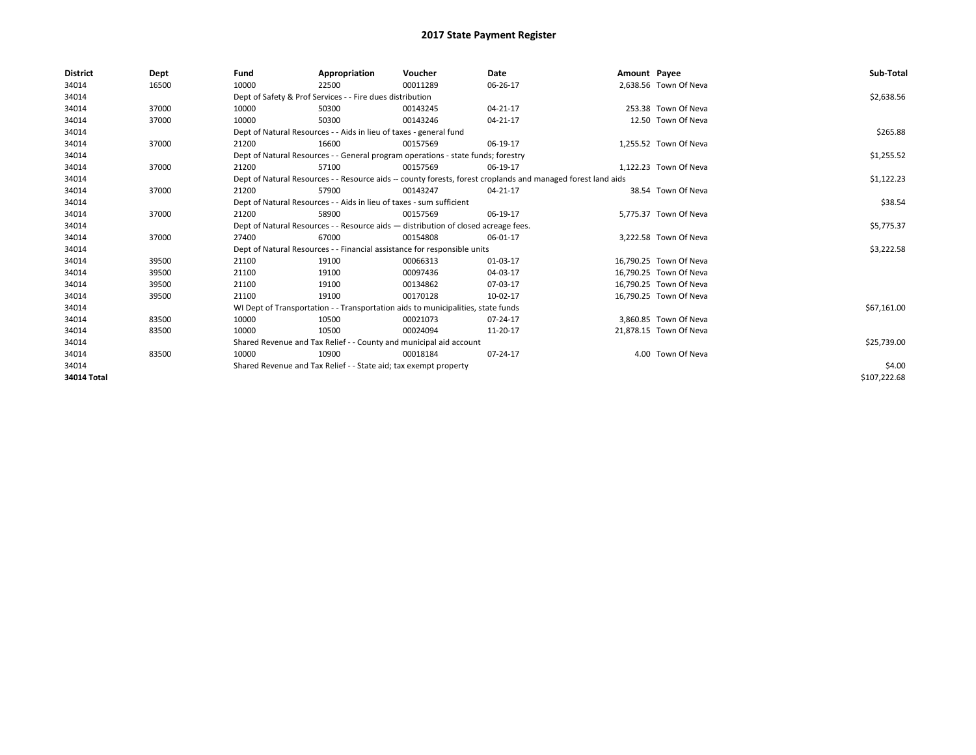| <b>District</b> | Dept  | Fund  | Appropriation                                                                                                | Voucher  | Date       | Amount Payee |                        | Sub-Total    |  |  |  |
|-----------------|-------|-------|--------------------------------------------------------------------------------------------------------------|----------|------------|--------------|------------------------|--------------|--|--|--|
| 34014           | 16500 | 10000 | 22500                                                                                                        | 00011289 | 06-26-17   |              | 2,638.56 Town Of Neva  |              |  |  |  |
| 34014           |       |       | Dept of Safety & Prof Services - - Fire dues distribution                                                    |          |            |              |                        | \$2,638.56   |  |  |  |
| 34014           | 37000 | 10000 | 50300                                                                                                        | 00143245 | 04-21-17   |              | 253.38 Town Of Neva    |              |  |  |  |
| 34014           | 37000 | 10000 | 50300                                                                                                        | 00143246 | 04-21-17   |              | 12.50 Town Of Neva     |              |  |  |  |
| 34014           |       |       | Dept of Natural Resources - - Aids in lieu of taxes - general fund                                           |          |            |              |                        |              |  |  |  |
| 34014           | 37000 | 21200 | 16600                                                                                                        | 00157569 | 06-19-17   |              | 1,255.52 Town Of Neva  |              |  |  |  |
| 34014           |       |       | Dept of Natural Resources - - General program operations - state funds; forestry                             |          | \$1,255.52 |              |                        |              |  |  |  |
| 34014           | 37000 | 21200 | 57100                                                                                                        | 00157569 | 06-19-17   |              | 1.122.23 Town Of Neva  |              |  |  |  |
| 34014           |       |       | Dept of Natural Resources - - Resource aids -- county forests, forest croplands and managed forest land aids |          | \$1,122.23 |              |                        |              |  |  |  |
| 34014           | 37000 | 21200 | 57900                                                                                                        | 00143247 | 04-21-17   |              | 38.54 Town Of Neva     |              |  |  |  |
| 34014           |       |       | Dept of Natural Resources - - Aids in lieu of taxes - sum sufficient                                         |          | \$38.54    |              |                        |              |  |  |  |
| 34014           | 37000 | 21200 | 58900                                                                                                        | 00157569 | 06-19-17   |              | 5,775.37 Town Of Neva  |              |  |  |  |
| 34014           |       |       | Dept of Natural Resources - - Resource aids - distribution of closed acreage fees.                           |          |            |              |                        |              |  |  |  |
| 34014           | 37000 | 27400 | 67000                                                                                                        | 00154808 | 06-01-17   |              | 3,222.58 Town Of Neva  |              |  |  |  |
| 34014           |       |       | Dept of Natural Resources - - Financial assistance for responsible units                                     |          |            |              |                        | \$3,222.58   |  |  |  |
| 34014           | 39500 | 21100 | 19100                                                                                                        | 00066313 | 01-03-17   |              | 16,790.25 Town Of Neva |              |  |  |  |
| 34014           | 39500 | 21100 | 19100                                                                                                        | 00097436 | 04-03-17   |              | 16,790.25 Town Of Neva |              |  |  |  |
| 34014           | 39500 | 21100 | 19100                                                                                                        | 00134862 | 07-03-17   |              | 16,790.25 Town Of Neva |              |  |  |  |
| 34014           | 39500 | 21100 | 19100                                                                                                        | 00170128 | 10-02-17   |              | 16,790.25 Town Of Neva |              |  |  |  |
| 34014           |       |       | WI Dept of Transportation - - Transportation aids to municipalities, state funds                             |          |            |              |                        | \$67,161.00  |  |  |  |
| 34014           | 83500 | 10000 | 10500                                                                                                        | 00021073 | 07-24-17   |              | 3,860.85 Town Of Neva  |              |  |  |  |
| 34014           | 83500 | 10000 | 10500                                                                                                        | 00024094 | 11-20-17   |              | 21,878.15 Town Of Neva |              |  |  |  |
| 34014           |       |       | Shared Revenue and Tax Relief - - County and municipal aid account                                           |          |            |              |                        | \$25,739.00  |  |  |  |
| 34014           | 83500 | 10000 | 10900                                                                                                        | 00018184 | 07-24-17   |              | 4.00 Town Of Neva      |              |  |  |  |
| 34014           |       |       | Shared Revenue and Tax Relief - - State aid; tax exempt property                                             |          |            |              |                        |              |  |  |  |
| 34014 Total     |       |       |                                                                                                              |          |            |              |                        | \$107,222.68 |  |  |  |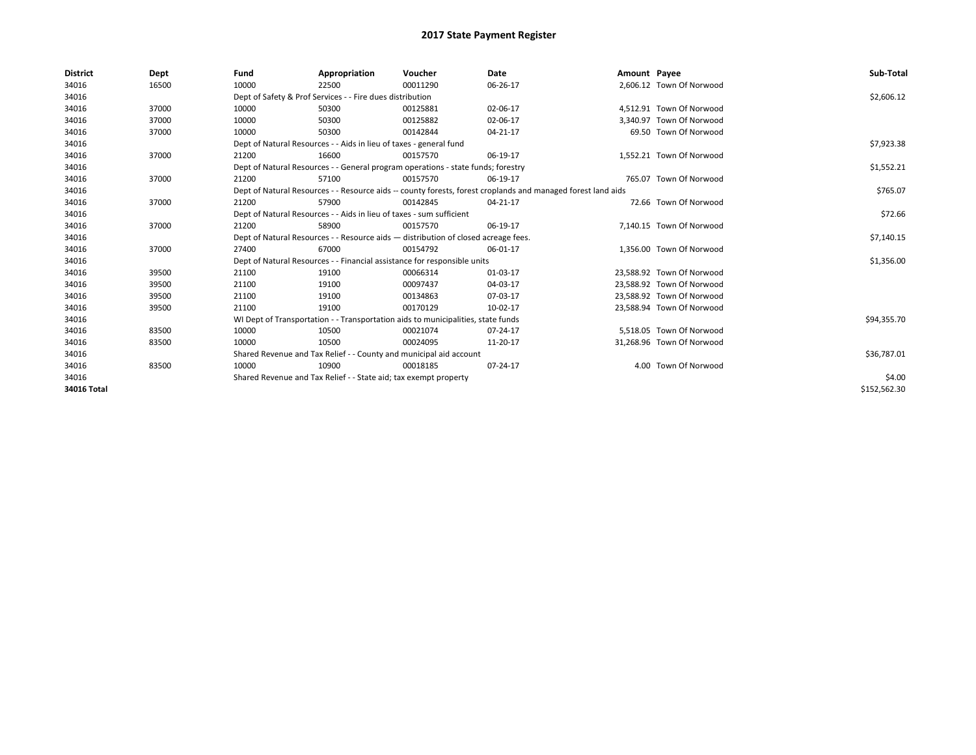| <b>District</b> | Dept  | Fund                                                                                                         | Appropriation                                                                    | Voucher     | Date     | Amount Payee |                           | Sub-Total    |
|-----------------|-------|--------------------------------------------------------------------------------------------------------------|----------------------------------------------------------------------------------|-------------|----------|--------------|---------------------------|--------------|
| 34016           | 16500 | 10000                                                                                                        | 22500                                                                            | 00011290    | 06-26-17 |              | 2,606.12 Town Of Norwood  |              |
| 34016           |       |                                                                                                              | Dept of Safety & Prof Services - - Fire dues distribution                        |             |          |              |                           | \$2,606.12   |
| 34016           | 37000 | 10000                                                                                                        | 50300                                                                            | 00125881    | 02-06-17 |              | 4.512.91 Town Of Norwood  |              |
| 34016           | 37000 | 10000                                                                                                        | 50300                                                                            | 00125882    | 02-06-17 |              | 3.340.97 Town Of Norwood  |              |
| 34016           | 37000 | 10000                                                                                                        | 50300                                                                            | 00142844    | 04-21-17 |              | 69.50 Town Of Norwood     |              |
| 34016           |       |                                                                                                              | Dept of Natural Resources - - Aids in lieu of taxes - general fund               |             |          |              |                           | \$7,923.38   |
| 34016           | 37000 | 21200                                                                                                        | 16600                                                                            | 00157570    | 06-19-17 |              | 1,552.21 Town Of Norwood  |              |
| 34016           |       |                                                                                                              | Dept of Natural Resources - - General program operations - state funds; forestry |             |          |              |                           | \$1,552.21   |
| 34016           | 37000 | 21200                                                                                                        | 57100                                                                            | 00157570    | 06-19-17 |              | 765.07 Town Of Norwood    |              |
| 34016           |       | Dept of Natural Resources - - Resource aids -- county forests, forest croplands and managed forest land aids |                                                                                  | \$765.07    |          |              |                           |              |
| 34016           | 37000 | 21200                                                                                                        | 57900                                                                            | 00142845    | 04-21-17 |              | 72.66 Town Of Norwood     |              |
| 34016           |       | Dept of Natural Resources - - Aids in lieu of taxes - sum sufficient                                         |                                                                                  | \$72.66     |          |              |                           |              |
| 34016           | 37000 | 21200                                                                                                        | 58900                                                                            | 00157570    | 06-19-17 |              | 7,140.15 Town Of Norwood  |              |
| 34016           |       | Dept of Natural Resources - - Resource aids - distribution of closed acreage fees.                           |                                                                                  | \$7,140.15  |          |              |                           |              |
| 34016           | 37000 | 27400                                                                                                        | 67000                                                                            | 00154792    | 06-01-17 |              | 1.356.00 Town Of Norwood  |              |
| 34016           |       |                                                                                                              | Dept of Natural Resources - - Financial assistance for responsible units         |             |          |              |                           | \$1,356.00   |
| 34016           | 39500 | 21100                                                                                                        | 19100                                                                            | 00066314    | 01-03-17 |              | 23.588.92 Town Of Norwood |              |
| 34016           | 39500 | 21100                                                                                                        | 19100                                                                            | 00097437    | 04-03-17 |              | 23,588.92 Town Of Norwood |              |
| 34016           | 39500 | 21100                                                                                                        | 19100                                                                            | 00134863    | 07-03-17 |              | 23,588.92 Town Of Norwood |              |
| 34016           | 39500 | 21100                                                                                                        | 19100                                                                            | 00170129    | 10-02-17 |              | 23,588.94 Town Of Norwood |              |
| 34016           |       |                                                                                                              | WI Dept of Transportation - - Transportation aids to municipalities, state funds |             |          |              |                           | \$94,355.70  |
| 34016           | 83500 | 10000                                                                                                        | 10500                                                                            | 00021074    | 07-24-17 |              | 5.518.05 Town Of Norwood  |              |
| 34016           | 83500 | 10000                                                                                                        | 10500                                                                            | 00024095    | 11-20-17 |              | 31,268.96 Town Of Norwood |              |
| 34016           |       | Shared Revenue and Tax Relief - - County and municipal aid account                                           |                                                                                  | \$36,787.01 |          |              |                           |              |
| 34016           | 83500 | 10000                                                                                                        | 10900                                                                            | 00018185    | 07-24-17 |              | 4.00 Town Of Norwood      |              |
| 34016           |       |                                                                                                              | Shared Revenue and Tax Relief - - State aid; tax exempt property                 |             |          |              |                           | \$4.00       |
| 34016 Total     |       |                                                                                                              |                                                                                  |             |          |              |                           | \$152,562.30 |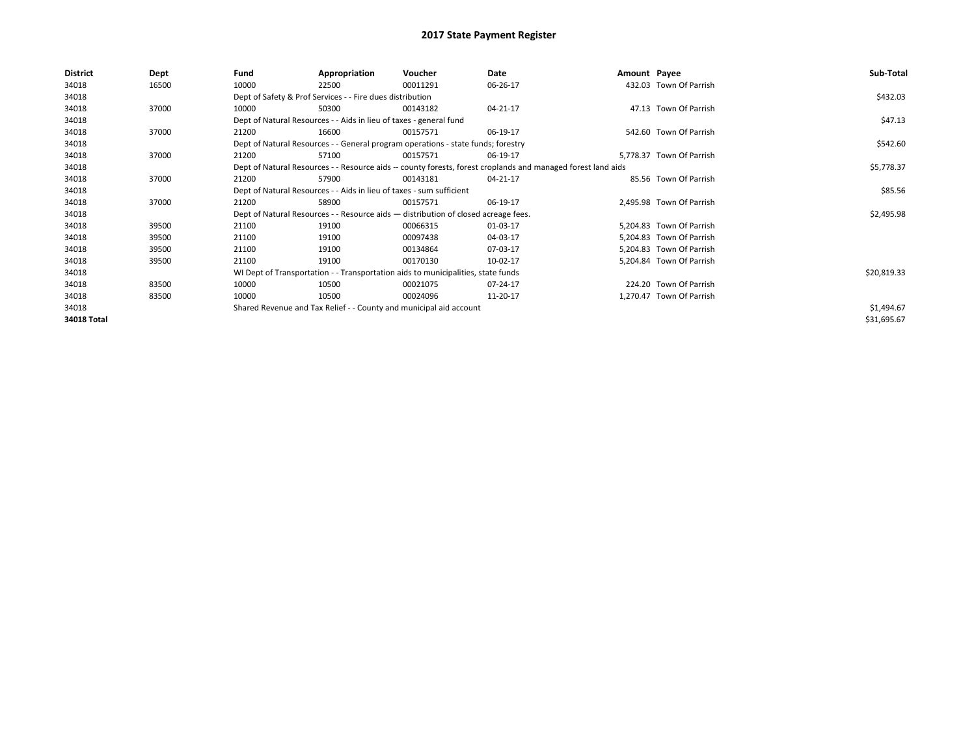| <b>District</b> | Dept  | Fund                                                                 | Appropriation                                                                                                | Voucher  | Date     | Amount Payee |                          | Sub-Total   |  |  |  |
|-----------------|-------|----------------------------------------------------------------------|--------------------------------------------------------------------------------------------------------------|----------|----------|--------------|--------------------------|-------------|--|--|--|
| 34018           | 16500 | 10000                                                                | 22500                                                                                                        | 00011291 | 06-26-17 |              | 432.03 Town Of Parrish   |             |  |  |  |
| 34018           |       |                                                                      | Dept of Safety & Prof Services - - Fire dues distribution                                                    |          |          |              |                          | \$432.03    |  |  |  |
| 34018           | 37000 | 10000                                                                | 50300                                                                                                        | 00143182 | 04-21-17 |              | 47.13 Town Of Parrish    |             |  |  |  |
| 34018           |       | Dept of Natural Resources - - Aids in lieu of taxes - general fund   |                                                                                                              | \$47.13  |          |              |                          |             |  |  |  |
| 34018           | 37000 | 21200                                                                | 16600                                                                                                        | 00157571 | 06-19-17 |              | 542.60 Town Of Parrish   |             |  |  |  |
| 34018           |       |                                                                      | Dept of Natural Resources - - General program operations - state funds; forestry                             |          |          |              |                          |             |  |  |  |
| 34018           | 37000 | 21200                                                                | 57100                                                                                                        | 00157571 | 06-19-17 |              | 5,778.37 Town Of Parrish |             |  |  |  |
| 34018           |       |                                                                      | Dept of Natural Resources - - Resource aids -- county forests, forest croplands and managed forest land aids |          |          |              |                          |             |  |  |  |
| 34018           | 37000 | 21200                                                                | 57900                                                                                                        | 00143181 | 04-21-17 |              | 85.56 Town Of Parrish    |             |  |  |  |
| 34018           |       | Dept of Natural Resources - - Aids in lieu of taxes - sum sufficient |                                                                                                              | \$85.56  |          |              |                          |             |  |  |  |
| 34018           | 37000 | 21200                                                                | 58900                                                                                                        | 00157571 | 06-19-17 |              | 2,495.98 Town Of Parrish |             |  |  |  |
| 34018           |       |                                                                      | Dept of Natural Resources - - Resource aids - distribution of closed acreage fees.                           |          |          |              |                          | \$2,495.98  |  |  |  |
| 34018           | 39500 | 21100                                                                | 19100                                                                                                        | 00066315 | 01-03-17 |              | 5,204.83 Town Of Parrish |             |  |  |  |
| 34018           | 39500 | 21100                                                                | 19100                                                                                                        | 00097438 | 04-03-17 |              | 5,204.83 Town Of Parrish |             |  |  |  |
| 34018           | 39500 | 21100                                                                | 19100                                                                                                        | 00134864 | 07-03-17 |              | 5,204.83 Town Of Parrish |             |  |  |  |
| 34018           | 39500 | 21100                                                                | 19100                                                                                                        | 00170130 | 10-02-17 |              | 5,204.84 Town Of Parrish |             |  |  |  |
| 34018           |       |                                                                      | WI Dept of Transportation - - Transportation aids to municipalities, state funds                             |          |          |              |                          | \$20,819.33 |  |  |  |
| 34018           | 83500 | 10000                                                                | 10500                                                                                                        | 00021075 | 07-24-17 |              | 224.20 Town Of Parrish   |             |  |  |  |
| 34018           | 83500 | 10000                                                                | 10500                                                                                                        | 00024096 | 11-20-17 |              | 1,270.47 Town Of Parrish |             |  |  |  |
| 34018           |       |                                                                      | Shared Revenue and Tax Relief - - County and municipal aid account                                           |          |          |              |                          | \$1,494.67  |  |  |  |
| 34018 Total     |       |                                                                      |                                                                                                              |          |          |              |                          | \$31,695.67 |  |  |  |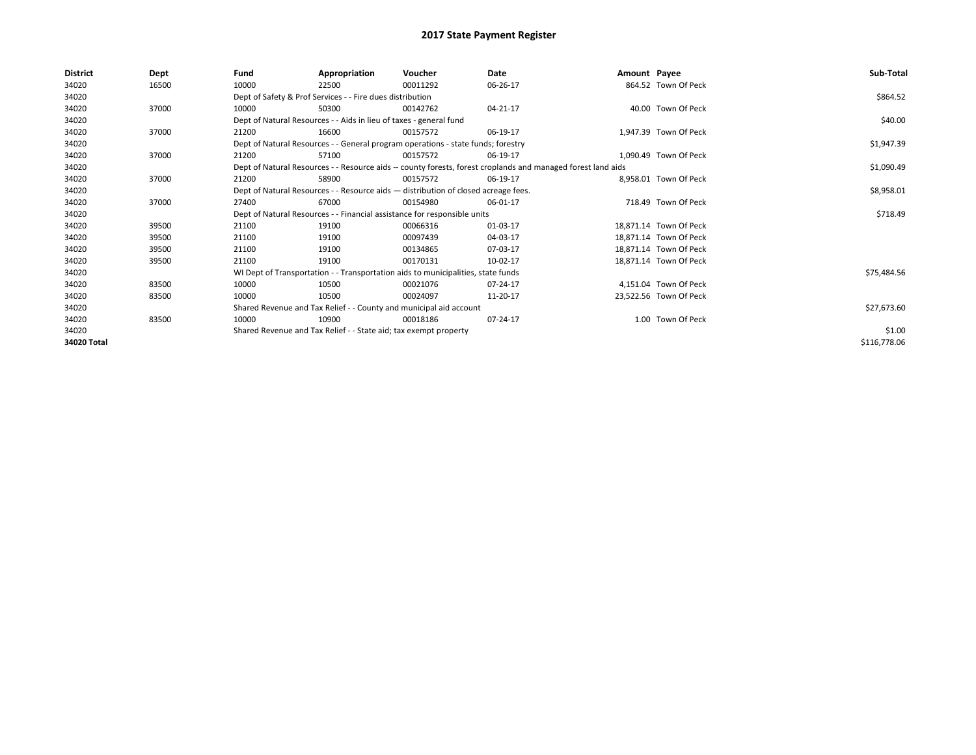| <b>District</b> | Dept  | Fund                                                                               | Appropriation                                                                                                | Voucher     | Date       | Amount Payee |                        | Sub-Total    |  |  |
|-----------------|-------|------------------------------------------------------------------------------------|--------------------------------------------------------------------------------------------------------------|-------------|------------|--------------|------------------------|--------------|--|--|
| 34020           | 16500 | 10000                                                                              | 22500                                                                                                        | 00011292    | 06-26-17   |              | 864.52 Town Of Peck    |              |  |  |
| 34020           |       |                                                                                    | Dept of Safety & Prof Services - - Fire dues distribution                                                    |             |            |              |                        | \$864.52     |  |  |
| 34020           | 37000 | 10000                                                                              | 50300                                                                                                        | 00142762    | 04-21-17   |              | 40.00 Town Of Peck     |              |  |  |
| 34020           |       |                                                                                    | Dept of Natural Resources - - Aids in lieu of taxes - general fund                                           |             |            |              |                        |              |  |  |
| 34020           | 37000 | 21200                                                                              | 16600                                                                                                        | 00157572    | 06-19-17   |              | 1,947.39 Town Of Peck  |              |  |  |
| 34020           |       | Dept of Natural Resources - - General program operations - state funds; forestry   |                                                                                                              | \$1,947.39  |            |              |                        |              |  |  |
| 34020           | 37000 | 21200                                                                              | 57100                                                                                                        | 00157572    | 06-19-17   |              | 1.090.49 Town Of Peck  |              |  |  |
| 34020           |       |                                                                                    | Dept of Natural Resources - - Resource aids -- county forests, forest croplands and managed forest land aids |             | \$1,090.49 |              |                        |              |  |  |
| 34020           | 37000 | 21200                                                                              | 58900                                                                                                        | 00157572    | 06-19-17   |              | 8.958.01 Town Of Peck  |              |  |  |
| 34020           |       | Dept of Natural Resources - - Resource aids - distribution of closed acreage fees. |                                                                                                              | \$8,958.01  |            |              |                        |              |  |  |
| 34020           | 37000 | 27400                                                                              | 67000                                                                                                        | 00154980    | 06-01-17   |              | 718.49 Town Of Peck    |              |  |  |
| 34020           |       |                                                                                    | Dept of Natural Resources - - Financial assistance for responsible units                                     |             |            |              |                        | \$718.49     |  |  |
| 34020           | 39500 | 21100                                                                              | 19100                                                                                                        | 00066316    | 01-03-17   |              | 18.871.14 Town Of Peck |              |  |  |
| 34020           | 39500 | 21100                                                                              | 19100                                                                                                        | 00097439    | 04-03-17   |              | 18,871.14 Town Of Peck |              |  |  |
| 34020           | 39500 | 21100                                                                              | 19100                                                                                                        | 00134865    | 07-03-17   |              | 18.871.14 Town Of Peck |              |  |  |
| 34020           | 39500 | 21100                                                                              | 19100                                                                                                        | 00170131    | 10-02-17   |              | 18,871.14 Town Of Peck |              |  |  |
| 34020           |       |                                                                                    | WI Dept of Transportation - - Transportation aids to municipalities, state funds                             |             |            |              |                        | \$75,484.56  |  |  |
| 34020           | 83500 | 10000                                                                              | 10500                                                                                                        | 00021076    | 07-24-17   |              | 4,151.04 Town Of Peck  |              |  |  |
| 34020           | 83500 | 10000                                                                              | 10500                                                                                                        | 00024097    | 11-20-17   |              | 23,522.56 Town Of Peck |              |  |  |
| 34020           |       | Shared Revenue and Tax Relief - - County and municipal aid account                 |                                                                                                              | \$27,673.60 |            |              |                        |              |  |  |
| 34020           | 83500 | 10000                                                                              | 10900                                                                                                        | 00018186    | 07-24-17   |              | 1.00 Town Of Peck      |              |  |  |
| 34020           |       | Shared Revenue and Tax Relief - - State aid; tax exempt property                   |                                                                                                              | \$1.00      |            |              |                        |              |  |  |
| 34020 Total     |       |                                                                                    |                                                                                                              |             |            |              |                        | \$116,778.06 |  |  |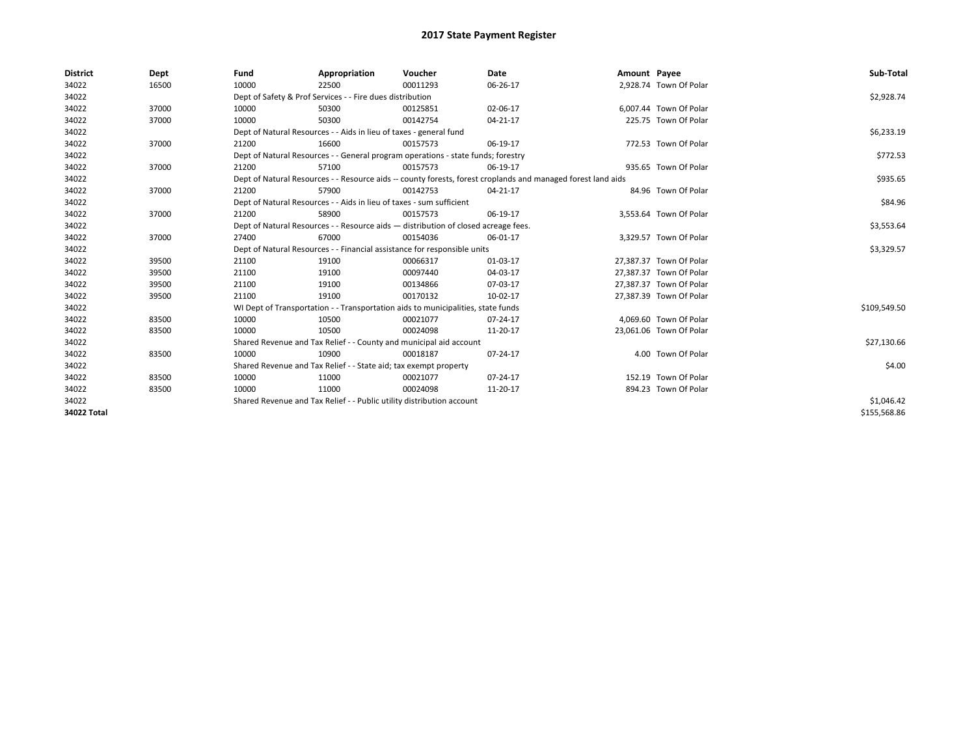| <b>District</b> | Dept  | Fund  | Appropriation                                                                                                | Voucher  | Date     | Amount Payee |                         | Sub-Total    |  |  |  |
|-----------------|-------|-------|--------------------------------------------------------------------------------------------------------------|----------|----------|--------------|-------------------------|--------------|--|--|--|
| 34022           | 16500 | 10000 | 22500                                                                                                        | 00011293 | 06-26-17 |              | 2,928.74 Town Of Polar  |              |  |  |  |
| 34022           |       |       | Dept of Safety & Prof Services - - Fire dues distribution                                                    |          |          |              |                         | \$2,928.74   |  |  |  |
| 34022           | 37000 | 10000 | 50300                                                                                                        | 00125851 | 02-06-17 |              | 6.007.44 Town Of Polar  |              |  |  |  |
| 34022           | 37000 | 10000 | 50300                                                                                                        | 00142754 | 04-21-17 |              | 225.75 Town Of Polar    |              |  |  |  |
| 34022           |       |       | Dept of Natural Resources - - Aids in lieu of taxes - general fund                                           |          |          |              |                         | \$6,233.19   |  |  |  |
| 34022           | 37000 | 21200 | 16600                                                                                                        | 00157573 | 06-19-17 |              | 772.53 Town Of Polar    |              |  |  |  |
| 34022           |       |       | Dept of Natural Resources - - General program operations - state funds; forestry                             |          |          |              |                         |              |  |  |  |
| 34022           | 37000 | 21200 | 57100                                                                                                        | 00157573 | 06-19-17 |              | 935.65 Town Of Polar    |              |  |  |  |
| 34022           |       |       | Dept of Natural Resources - - Resource aids -- county forests, forest croplands and managed forest land aids |          | \$935.65 |              |                         |              |  |  |  |
| 34022           | 37000 | 21200 | 57900                                                                                                        | 00142753 | 04-21-17 |              | 84.96 Town Of Polar     |              |  |  |  |
| 34022           |       |       | Dept of Natural Resources - - Aids in lieu of taxes - sum sufficient                                         |          |          |              |                         |              |  |  |  |
| 34022           | 37000 | 21200 | 58900                                                                                                        | 00157573 | 06-19-17 |              | 3,553.64 Town Of Polar  |              |  |  |  |
| 34022           |       |       | Dept of Natural Resources - - Resource aids - distribution of closed acreage fees.                           |          |          |              |                         |              |  |  |  |
| 34022           | 37000 | 27400 | 67000                                                                                                        | 00154036 | 06-01-17 |              | 3,329.57 Town Of Polar  |              |  |  |  |
| 34022           |       |       | Dept of Natural Resources - - Financial assistance for responsible units                                     |          |          |              |                         |              |  |  |  |
| 34022           | 39500 | 21100 | 19100                                                                                                        | 00066317 | 01-03-17 |              | 27,387.37 Town Of Polar |              |  |  |  |
| 34022           | 39500 | 21100 | 19100                                                                                                        | 00097440 | 04-03-17 |              | 27,387.37 Town Of Polar |              |  |  |  |
| 34022           | 39500 | 21100 | 19100                                                                                                        | 00134866 | 07-03-17 |              | 27.387.37 Town Of Polar |              |  |  |  |
| 34022           | 39500 | 21100 | 19100                                                                                                        | 00170132 | 10-02-17 |              | 27,387.39 Town Of Polar |              |  |  |  |
| 34022           |       |       | WI Dept of Transportation - - Transportation aids to municipalities, state funds                             |          |          |              |                         | \$109,549.50 |  |  |  |
| 34022           | 83500 | 10000 | 10500                                                                                                        | 00021077 | 07-24-17 |              | 4,069.60 Town Of Polar  |              |  |  |  |
| 34022           | 83500 | 10000 | 10500                                                                                                        | 00024098 | 11-20-17 |              | 23,061.06 Town Of Polar |              |  |  |  |
| 34022           |       |       | Shared Revenue and Tax Relief - - County and municipal aid account                                           |          |          |              |                         | \$27,130.66  |  |  |  |
| 34022           | 83500 | 10000 | 10900                                                                                                        | 00018187 | 07-24-17 |              | 4.00 Town Of Polar      |              |  |  |  |
| 34022           |       |       | Shared Revenue and Tax Relief - - State aid; tax exempt property                                             |          |          |              |                         |              |  |  |  |
| 34022           | 83500 | 10000 | 11000                                                                                                        | 00021077 | 07-24-17 |              | 152.19 Town Of Polar    |              |  |  |  |
| 34022           | 83500 | 10000 | 11000                                                                                                        | 00024098 | 11-20-17 |              | 894.23 Town Of Polar    |              |  |  |  |
| 34022           |       |       | Shared Revenue and Tax Relief - - Public utility distribution account                                        |          |          |              |                         |              |  |  |  |
| 34022 Total     |       |       |                                                                                                              |          |          |              |                         | \$155.568.86 |  |  |  |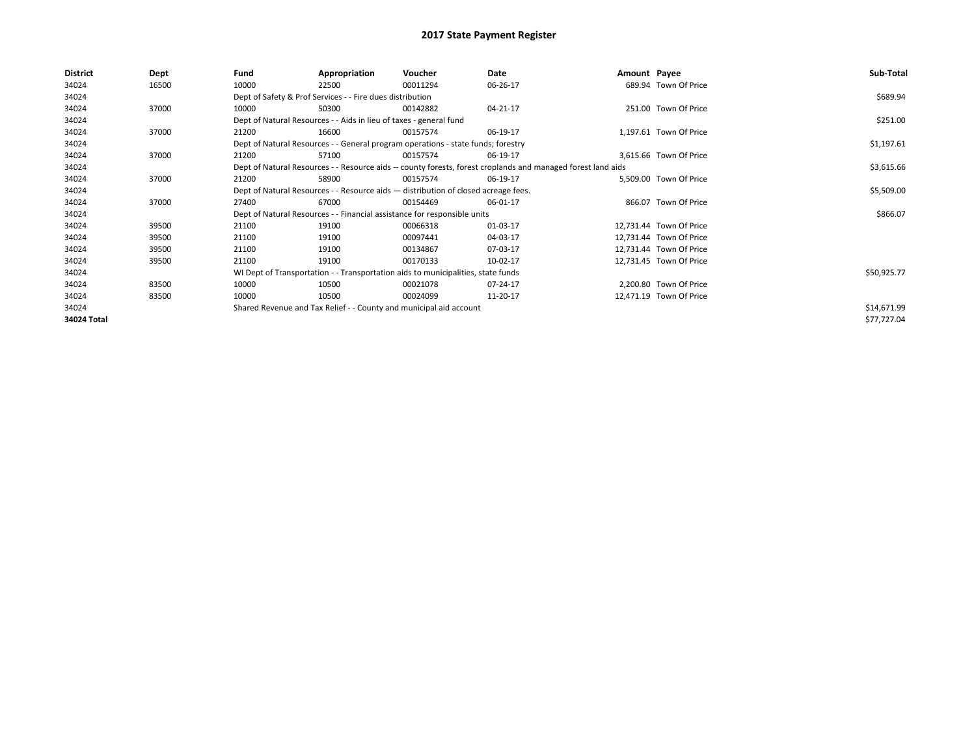| <b>District</b> | Dept  | Fund                                                                               | Appropriation                                                                                                | Voucher    | Date     | Amount Payee |                         | Sub-Total   |  |  |  |
|-----------------|-------|------------------------------------------------------------------------------------|--------------------------------------------------------------------------------------------------------------|------------|----------|--------------|-------------------------|-------------|--|--|--|
| 34024           | 16500 | 10000                                                                              | 22500                                                                                                        | 00011294   | 06-26-17 |              | 689.94 Town Of Price    |             |  |  |  |
| 34024           |       |                                                                                    | Dept of Safety & Prof Services - - Fire dues distribution                                                    |            |          |              |                         | \$689.94    |  |  |  |
| 34024           | 37000 | 10000                                                                              | 50300                                                                                                        | 00142882   | 04-21-17 |              | 251.00 Town Of Price    |             |  |  |  |
| 34024           |       |                                                                                    | Dept of Natural Resources - - Aids in lieu of taxes - general fund                                           |            |          |              |                         | \$251.00    |  |  |  |
| 34024           | 37000 | 21200                                                                              | 16600                                                                                                        | 00157574   | 06-19-17 |              | 1,197.61 Town Of Price  |             |  |  |  |
| 34024           |       |                                                                                    | Dept of Natural Resources - - General program operations - state funds; forestry                             |            |          |              |                         |             |  |  |  |
| 34024           | 37000 | 21200                                                                              | 57100                                                                                                        | 00157574   | 06-19-17 |              | 3,615.66 Town Of Price  |             |  |  |  |
| 34024           |       |                                                                                    | Dept of Natural Resources - - Resource aids -- county forests, forest croplands and managed forest land aids |            |          |              |                         |             |  |  |  |
| 34024           | 37000 | 21200                                                                              | 58900                                                                                                        | 00157574   | 06-19-17 |              | 5.509.00 Town Of Price  |             |  |  |  |
| 34024           |       | Dept of Natural Resources - - Resource aids - distribution of closed acreage fees. |                                                                                                              | \$5,509.00 |          |              |                         |             |  |  |  |
| 34024           | 37000 | 27400                                                                              | 67000                                                                                                        | 00154469   | 06-01-17 |              | 866.07 Town Of Price    |             |  |  |  |
| 34024           |       |                                                                                    | Dept of Natural Resources - - Financial assistance for responsible units                                     |            |          |              |                         | \$866.07    |  |  |  |
| 34024           | 39500 | 21100                                                                              | 19100                                                                                                        | 00066318   | 01-03-17 |              | 12,731.44 Town Of Price |             |  |  |  |
| 34024           | 39500 | 21100                                                                              | 19100                                                                                                        | 00097441   | 04-03-17 |              | 12,731.44 Town Of Price |             |  |  |  |
| 34024           | 39500 | 21100                                                                              | 19100                                                                                                        | 00134867   | 07-03-17 |              | 12,731.44 Town Of Price |             |  |  |  |
| 34024           | 39500 | 21100                                                                              | 19100                                                                                                        | 00170133   | 10-02-17 |              | 12,731.45 Town Of Price |             |  |  |  |
| 34024           |       |                                                                                    | WI Dept of Transportation - - Transportation aids to municipalities, state funds                             |            |          |              |                         | \$50,925.77 |  |  |  |
| 34024           | 83500 | 10000                                                                              | 10500                                                                                                        | 00021078   | 07-24-17 |              | 2.200.80 Town Of Price  |             |  |  |  |
| 34024           | 83500 | 10000                                                                              | 10500                                                                                                        | 00024099   | 11-20-17 |              | 12,471.19 Town Of Price |             |  |  |  |
| 34024           |       |                                                                                    | Shared Revenue and Tax Relief - - County and municipal aid account                                           |            |          |              |                         | \$14,671.99 |  |  |  |
| 34024 Total     |       |                                                                                    |                                                                                                              |            |          |              |                         | \$77,727.04 |  |  |  |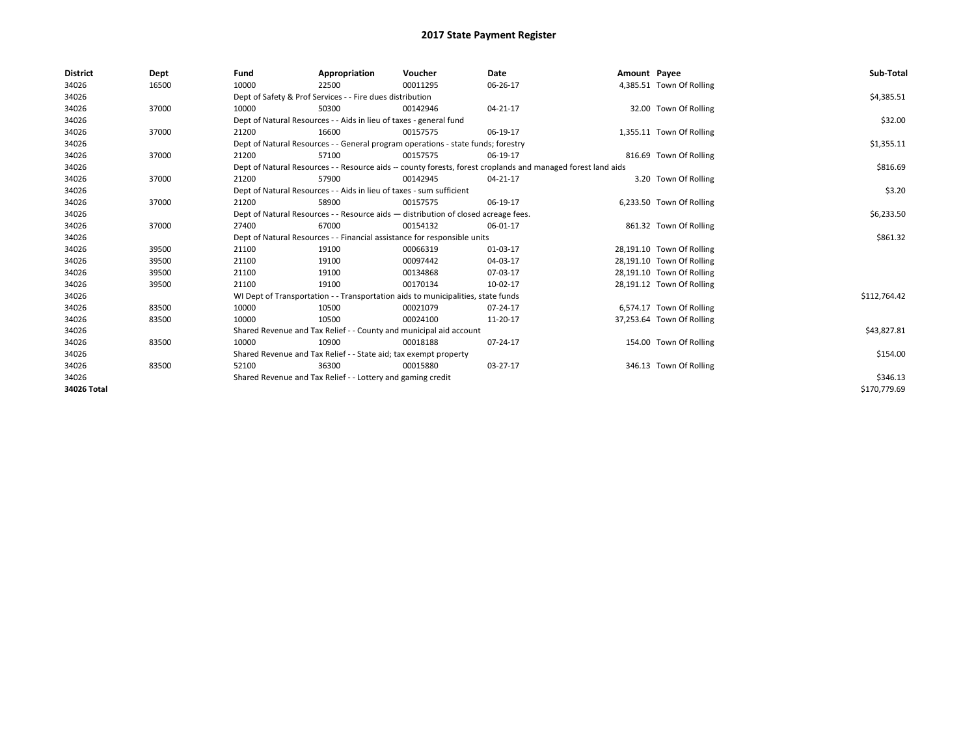| <b>District</b> | Dept  | Fund                                                                               | Appropriation                                                                    | Voucher    | Date                                                                                                         | Amount Payee |                           | Sub-Total    |
|-----------------|-------|------------------------------------------------------------------------------------|----------------------------------------------------------------------------------|------------|--------------------------------------------------------------------------------------------------------------|--------------|---------------------------|--------------|
| 34026           | 16500 | 10000                                                                              | 22500                                                                            | 00011295   | 06-26-17                                                                                                     |              | 4,385.51 Town Of Rolling  |              |
| 34026           |       |                                                                                    | Dept of Safety & Prof Services - - Fire dues distribution                        |            |                                                                                                              |              |                           | \$4,385.51   |
| 34026           | 37000 | 10000                                                                              | 50300                                                                            | 00142946   | 04-21-17                                                                                                     |              | 32.00 Town Of Rolling     |              |
| 34026           |       |                                                                                    | Dept of Natural Resources - - Aids in lieu of taxes - general fund               |            |                                                                                                              |              |                           | \$32.00      |
| 34026           | 37000 | 21200                                                                              | 16600                                                                            | 00157575   | 06-19-17                                                                                                     |              | 1,355.11 Town Of Rolling  |              |
| 34026           |       | Dept of Natural Resources - - General program operations - state funds; forestry   |                                                                                  | \$1,355.11 |                                                                                                              |              |                           |              |
| 34026           | 37000 | 21200                                                                              | 57100                                                                            | 00157575   | 06-19-17                                                                                                     |              | 816.69 Town Of Rolling    |              |
| 34026           |       |                                                                                    |                                                                                  |            | Dept of Natural Resources - - Resource aids -- county forests, forest croplands and managed forest land aids |              |                           | \$816.69     |
| 34026           | 37000 | 21200                                                                              | 57900                                                                            | 00142945   | 04-21-17                                                                                                     |              | 3.20 Town Of Rolling      |              |
| 34026           |       |                                                                                    | Dept of Natural Resources - - Aids in lieu of taxes - sum sufficient             |            |                                                                                                              |              |                           | \$3.20       |
| 34026           | 37000 | 21200                                                                              | 58900                                                                            | 00157575   | 06-19-17                                                                                                     |              | 6,233.50 Town Of Rolling  |              |
| 34026           |       | Dept of Natural Resources - - Resource aids - distribution of closed acreage fees. |                                                                                  | \$6,233.50 |                                                                                                              |              |                           |              |
| 34026           | 37000 | 27400                                                                              | 67000                                                                            | 00154132   | 06-01-17                                                                                                     |              | 861.32 Town Of Rolling    |              |
| 34026           |       |                                                                                    | Dept of Natural Resources - - Financial assistance for responsible units         |            |                                                                                                              |              |                           | \$861.32     |
| 34026           | 39500 | 21100                                                                              | 19100                                                                            | 00066319   | 01-03-17                                                                                                     |              | 28,191.10 Town Of Rolling |              |
| 34026           | 39500 | 21100                                                                              | 19100                                                                            | 00097442   | 04-03-17                                                                                                     |              | 28,191.10 Town Of Rolling |              |
| 34026           | 39500 | 21100                                                                              | 19100                                                                            | 00134868   | 07-03-17                                                                                                     |              | 28,191.10 Town Of Rolling |              |
| 34026           | 39500 | 21100                                                                              | 19100                                                                            | 00170134   | 10-02-17                                                                                                     |              | 28,191.12 Town Of Rolling |              |
| 34026           |       |                                                                                    | WI Dept of Transportation - - Transportation aids to municipalities, state funds |            |                                                                                                              |              |                           | \$112,764.42 |
| 34026           | 83500 | 10000                                                                              | 10500                                                                            | 00021079   | 07-24-17                                                                                                     |              | 6,574.17 Town Of Rolling  |              |
| 34026           | 83500 | 10000                                                                              | 10500                                                                            | 00024100   | 11-20-17                                                                                                     |              | 37,253.64 Town Of Rolling |              |
| 34026           |       |                                                                                    | Shared Revenue and Tax Relief - - County and municipal aid account               |            |                                                                                                              |              |                           | \$43,827.81  |
| 34026           | 83500 | 10000                                                                              | 10900                                                                            | 00018188   | 07-24-17                                                                                                     |              | 154.00 Town Of Rolling    |              |
| 34026           |       | Shared Revenue and Tax Relief - - State aid; tax exempt property                   |                                                                                  | \$154.00   |                                                                                                              |              |                           |              |
| 34026           | 83500 | 52100                                                                              | 36300                                                                            | 00015880   | 03-27-17                                                                                                     |              | 346.13 Town Of Rolling    |              |
| 34026           |       |                                                                                    | Shared Revenue and Tax Relief - - Lottery and gaming credit                      |            |                                                                                                              |              |                           | \$346.13     |
| 34026 Total     |       |                                                                                    |                                                                                  |            |                                                                                                              |              |                           | \$170,779.69 |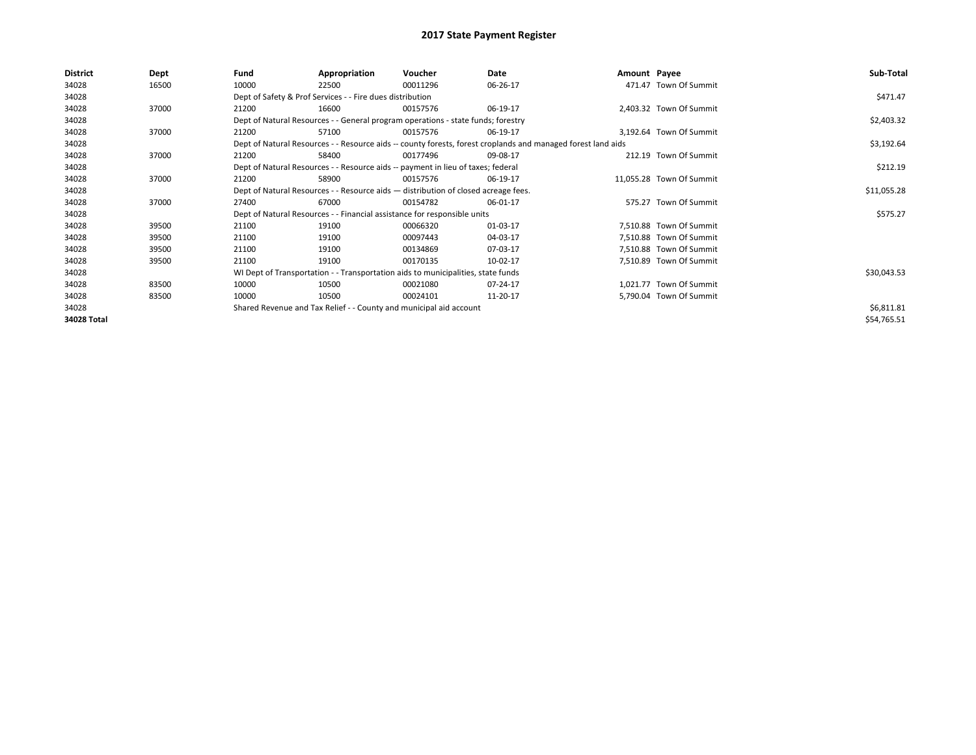| <b>District</b> | Dept  | Fund                                                                               | Appropriation                                                                    | Voucher     | Date                                                                                                         | Amount Payee |                          | Sub-Total   |
|-----------------|-------|------------------------------------------------------------------------------------|----------------------------------------------------------------------------------|-------------|--------------------------------------------------------------------------------------------------------------|--------------|--------------------------|-------------|
| 34028           | 16500 | 10000                                                                              | 22500                                                                            | 00011296    | 06-26-17                                                                                                     |              | 471.47 Town Of Summit    |             |
| 34028           |       |                                                                                    | Dept of Safety & Prof Services - - Fire dues distribution                        |             |                                                                                                              |              |                          | \$471.47    |
| 34028           | 37000 | 21200                                                                              | 16600                                                                            | 00157576    | 06-19-17                                                                                                     |              | 2,403.32 Town Of Summit  |             |
| 34028           |       | Dept of Natural Resources - - General program operations - state funds; forestry   |                                                                                  | \$2,403.32  |                                                                                                              |              |                          |             |
| 34028           | 37000 | 21200                                                                              | 57100                                                                            | 00157576    | 06-19-17                                                                                                     |              | 3,192.64 Town Of Summit  |             |
| 34028           |       |                                                                                    |                                                                                  |             | Dept of Natural Resources - - Resource aids -- county forests, forest croplands and managed forest land aids |              |                          | \$3,192.64  |
| 34028           | 37000 | 21200                                                                              | 58400                                                                            | 00177496    | 09-08-17                                                                                                     |              | 212.19 Town Of Summit    |             |
| 34028           |       | Dept of Natural Resources - - Resource aids -- payment in lieu of taxes; federal   |                                                                                  | \$212.19    |                                                                                                              |              |                          |             |
| 34028           | 37000 | 21200                                                                              | 58900                                                                            | 00157576    | 06-19-17                                                                                                     |              | 11.055.28 Town Of Summit |             |
| 34028           |       | Dept of Natural Resources - - Resource aids - distribution of closed acreage fees. |                                                                                  | \$11,055.28 |                                                                                                              |              |                          |             |
| 34028           | 37000 | 27400                                                                              | 67000                                                                            | 00154782    | 06-01-17                                                                                                     |              | 575.27 Town Of Summit    |             |
| 34028           |       |                                                                                    | Dept of Natural Resources - - Financial assistance for responsible units         |             |                                                                                                              |              |                          | \$575.27    |
| 34028           | 39500 | 21100                                                                              | 19100                                                                            | 00066320    | 01-03-17                                                                                                     |              | 7,510.88 Town Of Summit  |             |
| 34028           | 39500 | 21100                                                                              | 19100                                                                            | 00097443    | 04-03-17                                                                                                     |              | 7,510.88 Town Of Summit  |             |
| 34028           | 39500 | 21100                                                                              | 19100                                                                            | 00134869    | 07-03-17                                                                                                     |              | 7,510.88 Town Of Summit  |             |
| 34028           | 39500 | 21100                                                                              | 19100                                                                            | 00170135    | 10-02-17                                                                                                     |              | 7,510.89 Town Of Summit  |             |
| 34028           |       |                                                                                    | WI Dept of Transportation - - Transportation aids to municipalities, state funds |             |                                                                                                              |              |                          | \$30,043.53 |
| 34028           | 83500 | 10000                                                                              | 10500                                                                            | 00021080    | 07-24-17                                                                                                     |              | 1,021.77 Town Of Summit  |             |
| 34028           | 83500 | 10000                                                                              | 10500                                                                            | 00024101    | 11-20-17                                                                                                     |              | 5,790.04 Town Of Summit  |             |
| 34028           |       |                                                                                    | Shared Revenue and Tax Relief - - County and municipal aid account               |             |                                                                                                              |              |                          | \$6,811.81  |
| 34028 Total     |       |                                                                                    |                                                                                  |             |                                                                                                              |              |                          | \$54,765.51 |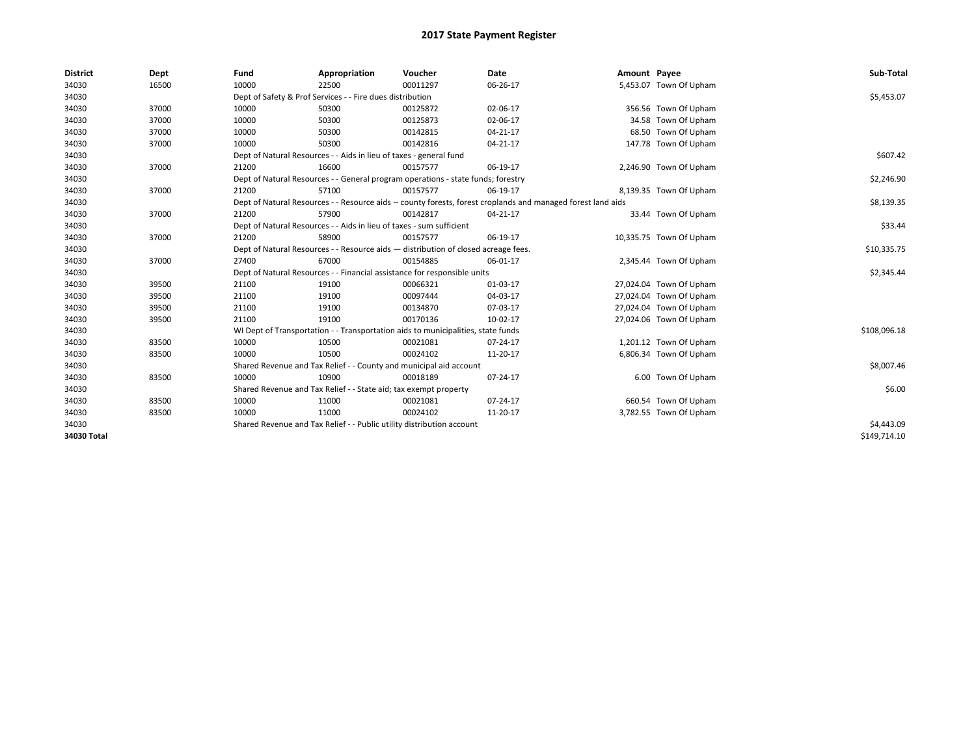| <b>District</b> | Dept  | Fund                                                                               | Appropriation                                                                    | Voucher     | Date                                                                                                         | Amount Payee |                         | Sub-Total    |
|-----------------|-------|------------------------------------------------------------------------------------|----------------------------------------------------------------------------------|-------------|--------------------------------------------------------------------------------------------------------------|--------------|-------------------------|--------------|
| 34030           | 16500 | 10000                                                                              | 22500                                                                            | 00011297    | 06-26-17                                                                                                     |              | 5,453.07 Town Of Upham  |              |
| 34030           |       |                                                                                    | Dept of Safety & Prof Services - - Fire dues distribution                        |             |                                                                                                              |              |                         | \$5,453.07   |
| 34030           | 37000 | 10000                                                                              | 50300                                                                            | 00125872    | 02-06-17                                                                                                     |              | 356.56 Town Of Upham    |              |
| 34030           | 37000 | 10000                                                                              | 50300                                                                            | 00125873    | 02-06-17                                                                                                     |              | 34.58 Town Of Upham     |              |
| 34030           | 37000 | 10000                                                                              | 50300                                                                            | 00142815    | 04-21-17                                                                                                     |              | 68.50 Town Of Upham     |              |
| 34030           | 37000 | 10000                                                                              | 50300                                                                            | 00142816    | $04 - 21 - 17$                                                                                               |              | 147.78 Town Of Upham    |              |
| 34030           |       | Dept of Natural Resources - - Aids in lieu of taxes - general fund                 |                                                                                  | \$607.42    |                                                                                                              |              |                         |              |
| 34030           | 37000 | 21200                                                                              | 16600                                                                            | 00157577    | 06-19-17                                                                                                     |              | 2,246.90 Town Of Upham  |              |
| 34030           |       |                                                                                    | Dept of Natural Resources - - General program operations - state funds; forestry |             |                                                                                                              |              |                         | \$2,246.90   |
| 34030           | 37000 | 21200                                                                              | 57100                                                                            | 00157577    | 06-19-17                                                                                                     |              | 8,139.35 Town Of Upham  |              |
| 34030           |       |                                                                                    |                                                                                  |             | Dept of Natural Resources - - Resource aids -- county forests, forest croplands and managed forest land aids |              |                         | \$8,139.35   |
| 34030           | 37000 | 21200                                                                              | 57900                                                                            | 00142817    | 04-21-17                                                                                                     |              | 33.44 Town Of Upham     |              |
| 34030           |       | Dept of Natural Resources - - Aids in lieu of taxes - sum sufficient               |                                                                                  | \$33.44     |                                                                                                              |              |                         |              |
| 34030           | 37000 | 21200                                                                              | 58900                                                                            | 00157577    | 06-19-17                                                                                                     |              | 10,335.75 Town Of Upham |              |
| 34030           |       | Dept of Natural Resources - - Resource aids - distribution of closed acreage fees. |                                                                                  | \$10,335.75 |                                                                                                              |              |                         |              |
| 34030           | 37000 | 27400                                                                              | 67000                                                                            | 00154885    | 06-01-17                                                                                                     |              | 2,345.44 Town Of Upham  |              |
| 34030           |       |                                                                                    | Dept of Natural Resources - - Financial assistance for responsible units         |             |                                                                                                              |              |                         | \$2,345.44   |
| 34030           | 39500 | 21100                                                                              | 19100                                                                            | 00066321    | 01-03-17                                                                                                     |              | 27,024.04 Town Of Upham |              |
| 34030           | 39500 | 21100                                                                              | 19100                                                                            | 00097444    | 04-03-17                                                                                                     |              | 27,024.04 Town Of Upham |              |
| 34030           | 39500 | 21100                                                                              | 19100                                                                            | 00134870    | 07-03-17                                                                                                     |              | 27,024.04 Town Of Upham |              |
| 34030           | 39500 | 21100                                                                              | 19100                                                                            | 00170136    | 10-02-17                                                                                                     |              | 27,024.06 Town Of Upham |              |
| 34030           |       |                                                                                    | WI Dept of Transportation - - Transportation aids to municipalities, state funds |             |                                                                                                              |              |                         | \$108,096.18 |
| 34030           | 83500 | 10000                                                                              | 10500                                                                            | 00021081    | $07 - 24 - 17$                                                                                               |              | 1,201.12 Town Of Upham  |              |
| 34030           | 83500 | 10000                                                                              | 10500                                                                            | 00024102    | 11-20-17                                                                                                     |              | 6,806.34 Town Of Upham  |              |
| 34030           |       |                                                                                    | Shared Revenue and Tax Relief - - County and municipal aid account               |             |                                                                                                              |              |                         | \$8,007.46   |
| 34030           | 83500 | 10000                                                                              | 10900                                                                            | 00018189    | 07-24-17                                                                                                     |              | 6.00 Town Of Upham      |              |
| 34030           |       | Shared Revenue and Tax Relief - - State aid; tax exempt property                   |                                                                                  | \$6.00      |                                                                                                              |              |                         |              |
| 34030           | 83500 | 10000                                                                              | 11000                                                                            | 00021081    | 07-24-17                                                                                                     |              | 660.54 Town Of Upham    |              |
| 34030           | 83500 | 10000                                                                              | 11000                                                                            | 00024102    | 11-20-17                                                                                                     |              | 3,782.55 Town Of Upham  |              |
| 34030           |       | Shared Revenue and Tax Relief - - Public utility distribution account              |                                                                                  | \$4,443.09  |                                                                                                              |              |                         |              |
| 34030 Total     |       |                                                                                    |                                                                                  |             |                                                                                                              |              |                         | \$149,714.10 |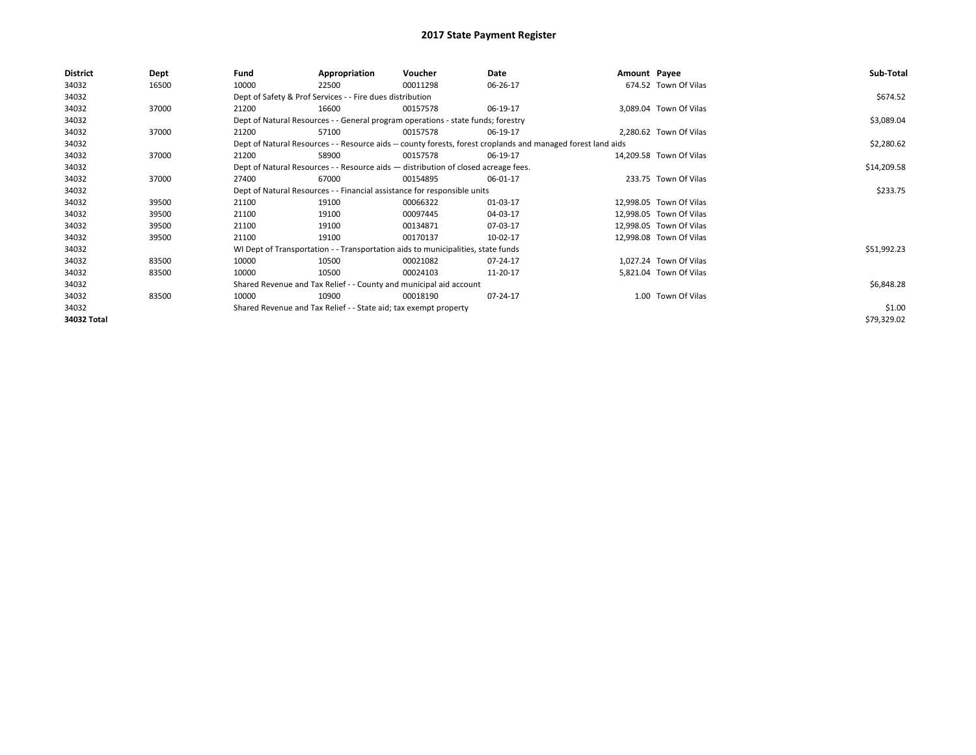| <b>District</b> | Dept  | Fund                                                                                                         | Appropriation                                                                      | Voucher    | Date     | Amount Payee |                         | Sub-Total   |  |  |
|-----------------|-------|--------------------------------------------------------------------------------------------------------------|------------------------------------------------------------------------------------|------------|----------|--------------|-------------------------|-------------|--|--|
| 34032           | 16500 | 10000                                                                                                        | 22500                                                                              | 00011298   | 06-26-17 |              | 674.52 Town Of Vilas    |             |  |  |
| 34032           |       |                                                                                                              | Dept of Safety & Prof Services - - Fire dues distribution                          |            |          |              |                         | \$674.52    |  |  |
| 34032           | 37000 | 21200                                                                                                        | 16600                                                                              | 00157578   | 06-19-17 |              | 3,089.04 Town Of Vilas  |             |  |  |
| 34032           |       | Dept of Natural Resources - - General program operations - state funds; forestry                             |                                                                                    | \$3,089.04 |          |              |                         |             |  |  |
| 34032           | 37000 | 21200                                                                                                        | 57100                                                                              | 00157578   | 06-19-17 |              | 2,280.62 Town Of Vilas  |             |  |  |
| 34032           |       | Dept of Natural Resources - - Resource aids -- county forests, forest croplands and managed forest land aids |                                                                                    | \$2,280.62 |          |              |                         |             |  |  |
| 34032           | 37000 | 21200                                                                                                        | 58900                                                                              | 00157578   | 06-19-17 |              | 14,209.58 Town Of Vilas |             |  |  |
| 34032           |       |                                                                                                              | Dept of Natural Resources - - Resource aids - distribution of closed acreage fees. |            |          |              |                         |             |  |  |
| 34032           | 37000 | 27400                                                                                                        | 67000                                                                              | 00154895   | 06-01-17 |              | 233.75 Town Of Vilas    |             |  |  |
| 34032           |       | Dept of Natural Resources - - Financial assistance for responsible units                                     |                                                                                    | \$233.75   |          |              |                         |             |  |  |
| 34032           | 39500 | 21100                                                                                                        | 19100                                                                              | 00066322   | 01-03-17 |              | 12,998.05 Town Of Vilas |             |  |  |
| 34032           | 39500 | 21100                                                                                                        | 19100                                                                              | 00097445   | 04-03-17 |              | 12,998.05 Town Of Vilas |             |  |  |
| 34032           | 39500 | 21100                                                                                                        | 19100                                                                              | 00134871   | 07-03-17 |              | 12,998.05 Town Of Vilas |             |  |  |
| 34032           | 39500 | 21100                                                                                                        | 19100                                                                              | 00170137   | 10-02-17 |              | 12,998.08 Town Of Vilas |             |  |  |
| 34032           |       |                                                                                                              | WI Dept of Transportation - - Transportation aids to municipalities, state funds   |            |          |              |                         | \$51,992.23 |  |  |
| 34032           | 83500 | 10000                                                                                                        | 10500                                                                              | 00021082   | 07-24-17 |              | 1,027.24 Town Of Vilas  |             |  |  |
| 34032           | 83500 | 10000                                                                                                        | 10500                                                                              | 00024103   | 11-20-17 |              | 5,821.04 Town Of Vilas  |             |  |  |
| 34032           |       |                                                                                                              | Shared Revenue and Tax Relief - - County and municipal aid account                 |            |          |              |                         | \$6,848.28  |  |  |
| 34032           | 83500 | 10000                                                                                                        | 10900                                                                              | 00018190   | 07-24-17 |              | 1.00 Town Of Vilas      |             |  |  |
| 34032           |       | Shared Revenue and Tax Relief - - State aid; tax exempt property                                             |                                                                                    | \$1.00     |          |              |                         |             |  |  |
| 34032 Total     |       |                                                                                                              |                                                                                    |            |          |              |                         | \$79,329.02 |  |  |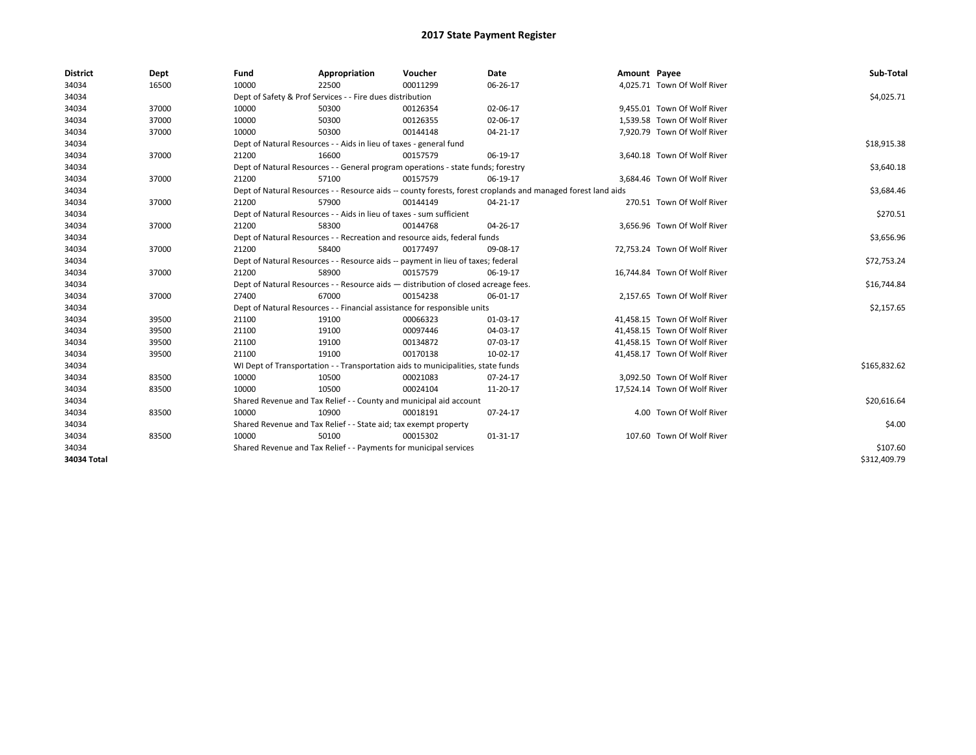| <b>District</b> | Dept  | Fund                                                                                                         | Appropriation                                                        | Voucher                                                                            | <b>Date</b> | Amount Payee |                              | Sub-Total    |  |  |
|-----------------|-------|--------------------------------------------------------------------------------------------------------------|----------------------------------------------------------------------|------------------------------------------------------------------------------------|-------------|--------------|------------------------------|--------------|--|--|
| 34034           | 16500 | 10000                                                                                                        | 22500                                                                | 00011299                                                                           | 06-26-17    |              | 4,025.71 Town Of Wolf River  |              |  |  |
| 34034           |       |                                                                                                              | Dept of Safety & Prof Services - - Fire dues distribution            |                                                                                    |             |              |                              | \$4,025.71   |  |  |
| 34034           | 37000 | 10000                                                                                                        | 50300                                                                | 00126354                                                                           | 02-06-17    |              | 9,455.01 Town Of Wolf River  |              |  |  |
| 34034           | 37000 | 10000                                                                                                        | 50300                                                                | 00126355                                                                           | 02-06-17    |              | 1.539.58 Town Of Wolf River  |              |  |  |
| 34034           | 37000 | 10000                                                                                                        | 50300                                                                | 00144148                                                                           | 04-21-17    |              | 7,920.79 Town Of Wolf River  |              |  |  |
| 34034           |       |                                                                                                              | Dept of Natural Resources - - Aids in lieu of taxes - general fund   |                                                                                    |             |              |                              | \$18,915.38  |  |  |
| 34034           | 37000 | 21200                                                                                                        | 16600                                                                | 00157579                                                                           | 06-19-17    |              | 3,640.18 Town Of Wolf River  |              |  |  |
| 34034           |       | Dept of Natural Resources - - General program operations - state funds; forestry                             |                                                                      | \$3,640.18                                                                         |             |              |                              |              |  |  |
| 34034           | 37000 | 21200                                                                                                        | 57100                                                                | 00157579                                                                           | 06-19-17    |              | 3.684.46 Town Of Wolf River  |              |  |  |
| 34034           |       | Dept of Natural Resources - - Resource aids -- county forests, forest croplands and managed forest land aids |                                                                      | \$3,684.46                                                                         |             |              |                              |              |  |  |
| 34034           | 37000 | 21200                                                                                                        | 57900                                                                | 00144149                                                                           | 04-21-17    |              | 270.51 Town Of Wolf River    |              |  |  |
| 34034           |       |                                                                                                              | Dept of Natural Resources - - Aids in lieu of taxes - sum sufficient |                                                                                    |             |              |                              |              |  |  |
| 34034           | 37000 | 21200                                                                                                        | 58300                                                                | 00144768                                                                           | 04-26-17    |              | 3,656.96 Town Of Wolf River  |              |  |  |
| 34034           |       | Dept of Natural Resources - - Recreation and resource aids, federal funds                                    |                                                                      | \$3,656.96                                                                         |             |              |                              |              |  |  |
| 34034           | 37000 | 21200                                                                                                        | 58400                                                                | 00177497                                                                           | 09-08-17    |              | 72,753.24 Town Of Wolf River |              |  |  |
| 34034           |       | Dept of Natural Resources - - Resource aids -- payment in lieu of taxes; federal                             |                                                                      | \$72,753.24                                                                        |             |              |                              |              |  |  |
| 34034           | 37000 | 21200                                                                                                        | 58900                                                                | 00157579                                                                           | 06-19-17    |              | 16,744.84 Town Of Wolf River |              |  |  |
| 34034           |       |                                                                                                              |                                                                      | Dept of Natural Resources - - Resource aids - distribution of closed acreage fees. |             |              |                              | \$16,744.84  |  |  |
| 34034           | 37000 | 27400                                                                                                        | 67000                                                                | 00154238                                                                           | 06-01-17    |              | 2,157.65 Town Of Wolf River  |              |  |  |
| 34034           |       |                                                                                                              |                                                                      | Dept of Natural Resources - - Financial assistance for responsible units           |             |              |                              | \$2,157.65   |  |  |
| 34034           | 39500 | 21100                                                                                                        | 19100                                                                | 00066323                                                                           | 01-03-17    |              | 41,458.15 Town Of Wolf River |              |  |  |
| 34034           | 39500 | 21100                                                                                                        | 19100                                                                | 00097446                                                                           | 04-03-17    |              | 41,458.15 Town Of Wolf River |              |  |  |
| 34034           | 39500 | 21100                                                                                                        | 19100                                                                | 00134872                                                                           | 07-03-17    |              | 41.458.15 Town Of Wolf River |              |  |  |
| 34034           | 39500 | 21100                                                                                                        | 19100                                                                | 00170138                                                                           | 10-02-17    |              | 41,458.17 Town Of Wolf River |              |  |  |
| 34034           |       |                                                                                                              |                                                                      | WI Dept of Transportation - - Transportation aids to municipalities, state funds   |             |              |                              | \$165,832.62 |  |  |
| 34034           | 83500 | 10000                                                                                                        | 10500                                                                | 00021083                                                                           | 07-24-17    |              | 3,092.50 Town Of Wolf River  |              |  |  |
| 34034           | 83500 | 10000                                                                                                        | 10500                                                                | 00024104                                                                           | 11-20-17    |              | 17,524.14 Town Of Wolf River |              |  |  |
| 34034           |       | Shared Revenue and Tax Relief - - County and municipal aid account                                           |                                                                      | \$20,616.64                                                                        |             |              |                              |              |  |  |
| 34034           | 83500 | 10000                                                                                                        | 10900                                                                | 00018191                                                                           | 07-24-17    |              | 4.00 Town Of Wolf River      |              |  |  |
| 34034           |       |                                                                                                              | Shared Revenue and Tax Relief - - State aid; tax exempt property     |                                                                                    |             |              |                              | \$4.00       |  |  |
| 34034           | 83500 | 10000                                                                                                        | 50100                                                                | 00015302                                                                           | 01-31-17    |              | 107.60 Town Of Wolf River    |              |  |  |
| 34034           |       |                                                                                                              | Shared Revenue and Tax Relief - - Payments for municipal services    |                                                                                    |             |              |                              | \$107.60     |  |  |
| 34034 Total     |       |                                                                                                              |                                                                      |                                                                                    |             |              |                              | \$312,409.79 |  |  |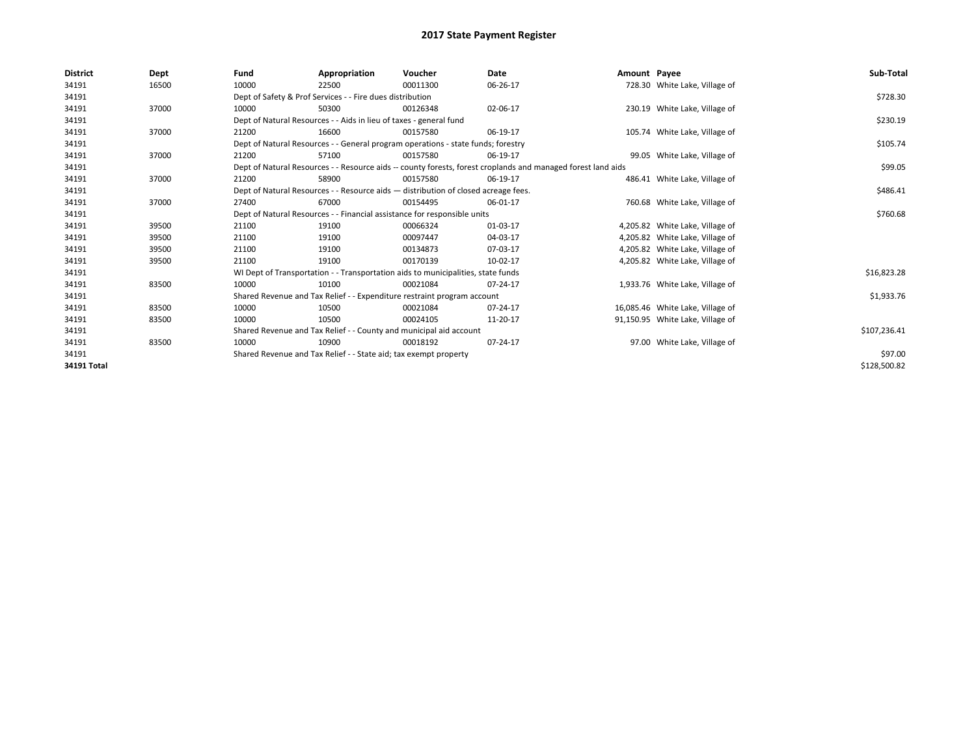| <b>District</b> | Dept  | Fund                                                                                                         | Appropriation                                                      | Voucher                                                                            | Date     | Amount Payee |                                  | Sub-Total    |
|-----------------|-------|--------------------------------------------------------------------------------------------------------------|--------------------------------------------------------------------|------------------------------------------------------------------------------------|----------|--------------|----------------------------------|--------------|
| 34191           | 16500 | 10000                                                                                                        | 22500                                                              | 00011300                                                                           | 06-26-17 |              | 728.30 White Lake, Village of    |              |
| 34191           |       |                                                                                                              | Dept of Safety & Prof Services - - Fire dues distribution          |                                                                                    |          |              |                                  | \$728.30     |
| 34191           | 37000 | 10000                                                                                                        | 50300                                                              | 00126348                                                                           | 02-06-17 |              | 230.19 White Lake, Village of    |              |
| 34191           |       |                                                                                                              | Dept of Natural Resources - - Aids in lieu of taxes - general fund |                                                                                    |          |              |                                  | \$230.19     |
| 34191           | 37000 | 21200                                                                                                        | 16600                                                              | 00157580                                                                           | 06-19-17 |              | 105.74 White Lake, Village of    |              |
| 34191           |       |                                                                                                              |                                                                    | Dept of Natural Resources - - General program operations - state funds; forestry   |          |              |                                  | \$105.74     |
| 34191           | 37000 | 21200                                                                                                        | 57100                                                              | 00157580                                                                           | 06-19-17 |              | 99.05 White Lake, Village of     |              |
| 34191           |       | Dept of Natural Resources - - Resource aids -- county forests, forest croplands and managed forest land aids |                                                                    | \$99.05                                                                            |          |              |                                  |              |
| 34191           | 37000 | 21200                                                                                                        | 58900                                                              | 00157580                                                                           | 06-19-17 |              | 486.41 White Lake, Village of    |              |
| 34191           |       |                                                                                                              |                                                                    | Dept of Natural Resources - - Resource aids - distribution of closed acreage fees. |          |              |                                  | \$486.41     |
| 34191           | 37000 | 27400                                                                                                        | 67000                                                              | 00154495                                                                           | 06-01-17 |              | 760.68 White Lake, Village of    |              |
| 34191           |       | Dept of Natural Resources - - Financial assistance for responsible units                                     |                                                                    | \$760.68                                                                           |          |              |                                  |              |
| 34191           | 39500 | 21100                                                                                                        | 19100                                                              | 00066324                                                                           | 01-03-17 |              | 4,205.82 White Lake, Village of  |              |
| 34191           | 39500 | 21100                                                                                                        | 19100                                                              | 00097447                                                                           | 04-03-17 |              | 4,205.82 White Lake, Village of  |              |
| 34191           | 39500 | 21100                                                                                                        | 19100                                                              | 00134873                                                                           | 07-03-17 |              | 4,205.82 White Lake, Village of  |              |
| 34191           | 39500 | 21100                                                                                                        | 19100                                                              | 00170139                                                                           | 10-02-17 |              | 4,205.82 White Lake, Village of  |              |
| 34191           |       |                                                                                                              |                                                                    | WI Dept of Transportation - - Transportation aids to municipalities, state funds   |          |              |                                  | \$16,823.28  |
| 34191           | 83500 | 10000                                                                                                        | 10100                                                              | 00021084                                                                           | 07-24-17 |              | 1,933.76 White Lake, Village of  |              |
| 34191           |       |                                                                                                              |                                                                    | Shared Revenue and Tax Relief - - Expenditure restraint program account            |          |              |                                  | \$1,933.76   |
| 34191           | 83500 | 10000                                                                                                        | 10500                                                              | 00021084                                                                           | 07-24-17 |              | 16,085.46 White Lake, Village of |              |
| 34191           | 83500 | 10000                                                                                                        | 10500                                                              | 00024105                                                                           | 11-20-17 |              | 91,150.95 White Lake, Village of |              |
| 34191           |       | Shared Revenue and Tax Relief - - County and municipal aid account                                           |                                                                    | \$107,236.41                                                                       |          |              |                                  |              |
| 34191           | 83500 | 10000                                                                                                        | 10900                                                              | 00018192                                                                           | 07-24-17 |              | 97.00 White Lake, Village of     |              |
| 34191           |       |                                                                                                              | Shared Revenue and Tax Relief - - State aid; tax exempt property   |                                                                                    |          |              |                                  | \$97.00      |
| 34191 Total     |       |                                                                                                              |                                                                    |                                                                                    |          |              |                                  | \$128,500.82 |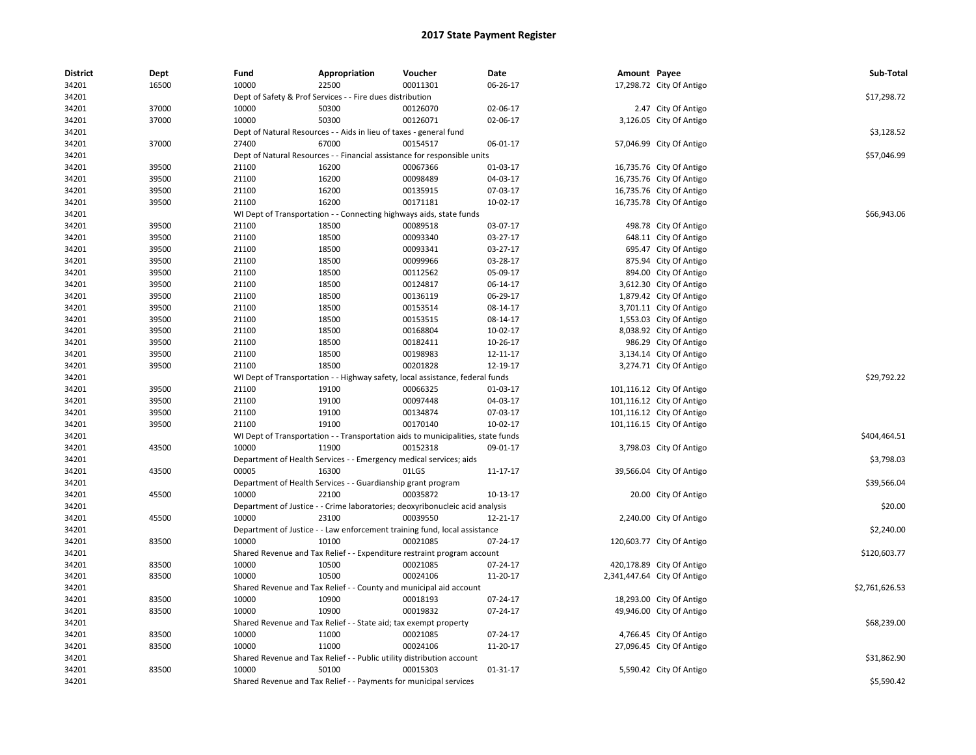| <b>District</b> | Dept  | Fund                          | Appropriation                                                                    | Voucher                              | Date     | Amount Payee |                             | Sub-Total      |
|-----------------|-------|-------------------------------|----------------------------------------------------------------------------------|--------------------------------------|----------|--------------|-----------------------------|----------------|
| 34201           | 16500 | 10000                         | 22500                                                                            | 00011301                             | 06-26-17 |              | 17,298.72 City Of Antigo    |                |
| 34201           |       |                               | Dept of Safety & Prof Services - - Fire dues distribution                        |                                      |          |              |                             | \$17,298.72    |
| 34201           | 37000 | 10000                         | 50300                                                                            | 00126070                             | 02-06-17 |              | 2.47 City Of Antigo         |                |
| 34201           | 37000 | 10000                         | 50300                                                                            | 00126071                             | 02-06-17 |              | 3,126.05 City Of Antigo     |                |
| 34201           |       |                               | Dept of Natural Resources - - Aids in lieu of taxes - general fund               |                                      |          |              |                             | \$3,128.52     |
| 34201           | 37000 | 27400                         | 67000                                                                            | 00154517                             | 06-01-17 |              | 57,046.99 City Of Antigo    |                |
| 34201           |       |                               | Dept of Natural Resources - - Financial assistance for responsible units         |                                      |          |              |                             | \$57,046.99    |
| 34201           | 39500 | 21100                         | 16200                                                                            | 00067366                             | 01-03-17 |              | 16,735.76 City Of Antigo    |                |
| 34201           | 39500 | 21100                         | 16200                                                                            | 00098489                             | 04-03-17 |              | 16,735.76 City Of Antigo    |                |
| 34201           | 39500 | 21100                         | 16200                                                                            | 00135915                             | 07-03-17 |              | 16,735.76 City Of Antigo    |                |
| 34201           | 39500 | 21100                         | 16200                                                                            | 00171181                             | 10-02-17 |              | 16,735.78 City Of Antigo    |                |
| 34201           |       |                               | WI Dept of Transportation - - Connecting highways aids, state funds              |                                      |          |              |                             | \$66,943.06    |
| 34201           | 39500 | 21100                         | 18500                                                                            | 00089518                             | 03-07-17 |              | 498.78 City Of Antigo       |                |
| 34201           | 39500 | 21100                         | 18500                                                                            | 00093340                             | 03-27-17 |              | 648.11 City Of Antigo       |                |
| 34201           | 39500 | 21100                         | 18500                                                                            | 00093341                             | 03-27-17 |              | 695.47 City Of Antigo       |                |
| 34201           | 39500 | 21100                         | 18500                                                                            | 00099966                             | 03-28-17 |              | 875.94 City Of Antigo       |                |
| 34201           | 39500 | 21100                         | 18500                                                                            | 00112562                             | 05-09-17 |              | 894.00 City Of Antigo       |                |
| 34201           | 39500 | 21100                         | 18500                                                                            | 00124817                             | 06-14-17 |              | 3,612.30 City Of Antigo     |                |
| 34201           | 39500 | 21100                         | 18500                                                                            | 00136119                             | 06-29-17 |              | 1,879.42 City Of Antigo     |                |
| 34201           | 39500 | 21100                         | 18500                                                                            | 00153514                             | 08-14-17 |              | 3,701.11 City Of Antigo     |                |
| 34201           | 39500 | 21100                         | 18500                                                                            | 00153515                             | 08-14-17 |              | 1,553.03 City Of Antigo     |                |
| 34201           | 39500 | 21100                         | 18500                                                                            | 00168804                             | 10-02-17 |              | 8,038.92 City Of Antigo     |                |
| 34201           | 39500 | 21100                         | 18500                                                                            | 00182411                             | 10-26-17 |              | 986.29 City Of Antigo       |                |
| 34201           | 39500 | 21100                         | 18500                                                                            | 00198983                             | 12-11-17 |              | 3,134.14 City Of Antigo     |                |
| 34201           | 39500 | 21100                         | 18500                                                                            | 00201828                             | 12-19-17 |              | 3,274.71 City Of Antigo     |                |
| 34201           |       |                               | WI Dept of Transportation - - Highway safety, local assistance, federal funds    |                                      |          |              |                             | \$29,792.22    |
| 34201           | 39500 | 21100                         | 19100                                                                            | 00066325                             | 01-03-17 |              | 101,116.12 City Of Antigo   |                |
| 34201           | 39500 | 21100                         | 19100                                                                            | 00097448                             | 04-03-17 |              | 101,116.12 City Of Antigo   |                |
| 34201           | 39500 | 21100                         | 19100                                                                            | 00134874                             | 07-03-17 |              | 101,116.12 City Of Antigo   |                |
| 34201           | 39500 | 21100                         | 19100                                                                            | 00170140                             | 10-02-17 |              | 101,116.15 City Of Antigo   |                |
| 34201           |       |                               | WI Dept of Transportation - - Transportation aids to municipalities, state funds |                                      |          |              |                             | \$404,464.51   |
| 34201           | 43500 | 10000                         | 11900                                                                            | 00152318                             | 09-01-17 |              | 3,798.03 City Of Antigo     |                |
| 34201           |       |                               | Department of Health Services - - Emergency medical services; aids               |                                      |          |              |                             | \$3,798.03     |
| 34201           | 43500 | 00005                         | 16300                                                                            | 01LGS                                | 11-17-17 |              | 39,566.04 City Of Antigo    |                |
| 34201           |       |                               | Department of Health Services - - Guardianship grant program                     |                                      |          |              |                             | \$39,566.04    |
| 34201           | 45500 | 10000                         | 22100                                                                            | 00035872                             | 10-13-17 |              | 20.00 City Of Antigo        |                |
| 34201           |       |                               | Department of Justice - - Crime laboratories; deoxyribonucleic acid analysis     |                                      |          |              |                             | \$20.00        |
| 34201           | 45500 | 10000                         | 23100                                                                            | 00039550                             | 12-21-17 |              | 2,240.00 City Of Antigo     |                |
| 34201           |       |                               | Department of Justice - - Law enforcement training fund, local assistance        |                                      |          |              |                             | \$2,240.00     |
| 34201           | 83500 | 10000                         | 10100                                                                            | 00021085                             | 07-24-17 |              | 120,603.77 City Of Antigo   |                |
| 34201           |       |                               | Shared Revenue and Tax Relief - - Expenditure restraint program account          |                                      |          |              |                             | \$120,603.77   |
| 34201           | 83500 | 10000                         | 10500                                                                            | 00021085                             | 07-24-17 |              | 420,178.89 City Of Antigo   |                |
| 34201           | 83500 | 10000                         | 10500                                                                            | 00024106                             | 11-20-17 |              | 2,341,447.64 City Of Antigo |                |
| 34201           |       | Shared Revenue and Tax Relief |                                                                                  | - - County and municipal aid account |          |              |                             | \$2,761,626.53 |
| 34201           | 83500 | 10000                         | 10900                                                                            | 00018193                             | 07-24-17 |              | 18,293.00 City Of Antigo    |                |
| 34201           | 83500 | 10000                         | 10900                                                                            | 00019832                             | 07-24-17 |              | 49,946.00 City Of Antigo    |                |
| 34201           |       |                               | Shared Revenue and Tax Relief - - State aid; tax exempt property                 |                                      |          |              |                             | \$68,239.00    |
| 34201           | 83500 | 10000                         | 11000                                                                            | 00021085                             | 07-24-17 |              | 4,766.45 City Of Antigo     |                |
| 34201           | 83500 | 10000                         | 11000                                                                            | 00024106                             | 11-20-17 |              | 27,096.45 City Of Antigo    |                |
| 34201           |       | 10000                         | Shared Revenue and Tax Relief - - Public utility distribution account<br>50100   | 00015303                             |          |              |                             | \$31,862.90    |
| 34201           | 83500 |                               |                                                                                  |                                      | 01-31-17 |              | 5,590.42 City Of Antigo     |                |
| 34201           |       |                               | Shared Revenue and Tax Relief - - Payments for municipal services                |                                      |          |              |                             | \$5,590.42     |